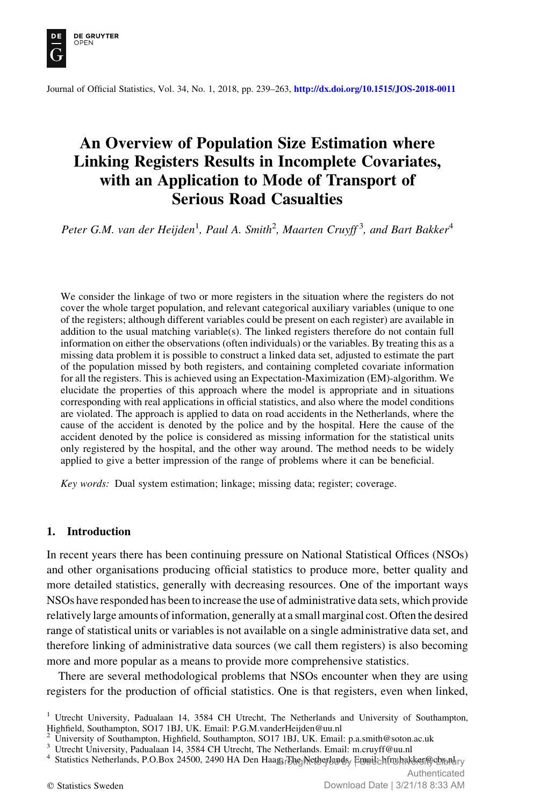

Journal of Official Statistics, Vol. 34, No. 1, 2018, pp. 239–263, <http://dx.doi.org/10.1515/JOS-2018-0011>

# An Overview of Population Size Estimation where Linking Registers Results in Incomplete Covariates, with an Application to Mode of Transport of Serious Road Casualties

Peter G.M. van der Heijden<sup>1</sup>, Paul A. Smith<sup>2</sup>, Maarten Cruyff<sup>3</sup>, and Bart Bakker<sup>4</sup>

We consider the linkage of two or more registers in the situation where the registers do not cover the whole target population, and relevant categorical auxiliary variables (unique to one of the registers; although different variables could be present on each register) are available in addition to the usual matching variable(s). The linked registers therefore do not contain full information on either the observations (often individuals) or the variables. By treating this as a missing data problem it is possible to construct a linked data set, adjusted to estimate the part of the population missed by both registers, and containing completed covariate information for all the registers. This is achieved using an Expectation-Maximization (EM)-algorithm. We elucidate the properties of this approach where the model is appropriate and in situations corresponding with real applications in official statistics, and also where the model conditions are violated. The approach is applied to data on road accidents in the Netherlands, where the cause of the accident is denoted by the police and by the hospital. Here the cause of the accident denoted by the police is considered as missing information for the statistical units only registered by the hospital, and the other way around. The method needs to be widely applied to give a better impression of the range of problems where it can be beneficial.

Key words: Dual system estimation; linkage; missing data; register; coverage.

## 1. Introduction

In recent years there has been continuing pressure on National Statistical Offices (NSOs) and other organisations producing official statistics to produce more, better quality and more detailed statistics, generally with decreasing resources. One of the important ways NSOs have responded has been to increase the use of administrative data sets, which provide relatively large amounts of information, generally at a small marginal cost. Often the desired range of statistical units or variables is not available on a single administrative data set, and therefore linking of administrative data sources (we call them registers) is also becoming more and more popular as a means to provide more comprehensive statistics.

There are several methodological problems that NSOs encounter when they are using registers for the production of official statistics. One is that registers, even when linked,

 $1$  Utrecht University, Padualaan 14, 3584 CH Utrecht, The Netherlands and University of Southampton, Highfield, Southampton, SO17 1BJ, UK. Email: P.G.M.vanderHeijden@uu.nl

<sup>&</sup>lt;sup>2</sup> University of Southampton, Highfield, Southampton, SO17 1BJ, UK. Email: p.a.smith@soton.ac.uk  $^3$  Utrecht University, Padualaan 14, 3584 CH Utrecht, The Netherlands. Email: m.cruyff@uu.nl

Statistics Netherlands, P.O.Box 24500, 2490 HA Den Haage Blog Netherlands, Email: hfrn bakker @cbs.n.br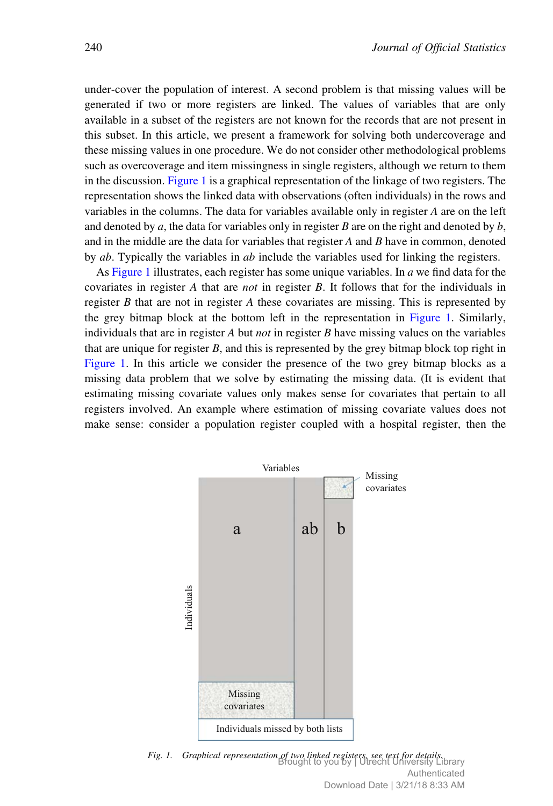under-cover the population of interest. A second problem is that missing values will be generated if two or more registers are linked. The values of variables that are only available in a subset of the registers are not known for the records that are not present in this subset. In this article, we present a framework for solving both undercoverage and these missing values in one procedure. We do not consider other methodological problems such as overcoverage and item missingness in single registers, although we return to them in the discussion. Figure 1 is a graphical representation of the linkage of two registers. The representation shows the linked data with observations (often individuals) in the rows and variables in the columns. The data for variables available only in register A are on the left and denoted by  $a$ , the data for variables only in register  $B$  are on the right and denoted by  $b$ , and in the middle are the data for variables that register  $A$  and  $B$  have in common, denoted by *ab*. Typically the variables in *ab* include the variables used for linking the registers.

As Figure 1 illustrates, each register has some unique variables. In  $a$  we find data for the covariates in register A that are not in register B. It follows that for the individuals in register B that are not in register A these covariates are missing. This is represented by the grey bitmap block at the bottom left in the representation in Figure 1. Similarly, individuals that are in register A but *not* in register B have missing values on the variables that are unique for register  $B$ , and this is represented by the grey bitmap block top right in Figure 1. In this article we consider the presence of the two grey bitmap blocks as a missing data problem that we solve by estimating the missing data. (It is evident that estimating missing covariate values only makes sense for covariates that pertain to all registers involved. An example where estimation of missing covariate values does not make sense: consider a population register coupled with a hospital register, then the



Fig. 1. Graphical representation of two linked registers, see text for details. Brought to you by | Utrecht University Library Authenticated Download Date | 3/21/18 8:33 AM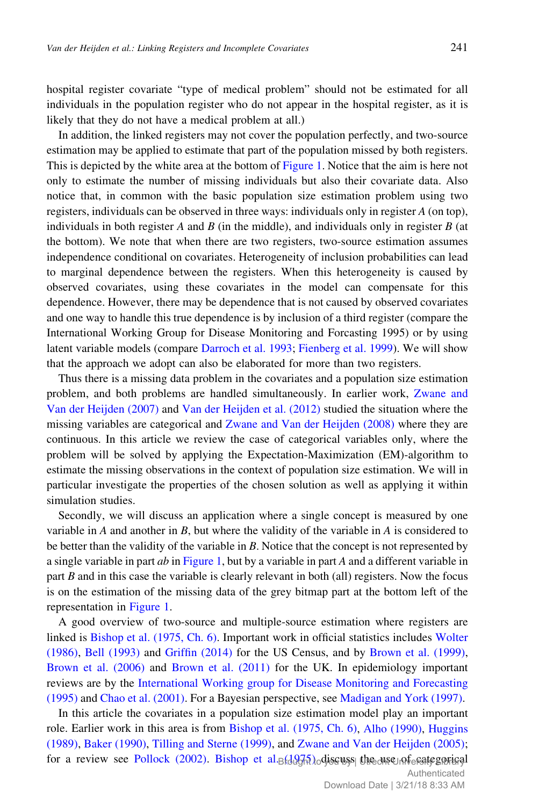hospital register covariate "type of medical problem" should not be estimated for all individuals in the population register who do not appear in the hospital register, as it is likely that they do not have a medical problem at all.)

In addition, the linked registers may not cover the population perfectly, and two-source estimation may be applied to estimate that part of the population missed by both registers. This is depicted by the white area at the bottom of Figure 1. Notice that the aim is here not only to estimate the number of missing individuals but also their covariate data. Also notice that, in common with the basic population size estimation problem using two registers, individuals can be observed in three ways: individuals only in register A (on top), individuals in both register  $A$  and  $B$  (in the middle), and individuals only in register  $B$  (at the bottom). We note that when there are two registers, two-source estimation assumes independence conditional on covariates. Heterogeneity of inclusion probabilities can lead to marginal dependence between the registers. When this heterogeneity is caused by observed covariates, using these covariates in the model can compensate for this dependence. However, there may be dependence that is not caused by observed covariates and one way to handle this true dependence is by inclusion of a third register (compare the International Working Group for Disease Monitoring and Forcasting 1995) or by using latent variable models (compare Darroch et al. 1993; Fienberg et al. 1999). We will show that the approach we adopt can also be elaborated for more than two registers.

Thus there is a missing data problem in the covariates and a population size estimation problem, and both problems are handled simultaneously. In earlier work, Zwane and Van der Heijden (2007) and Van der Heijden et al. (2012) studied the situation where the missing variables are categorical and Zwane and Van der Heijden (2008) where they are continuous. In this article we review the case of categorical variables only, where the problem will be solved by applying the Expectation-Maximization (EM)-algorithm to estimate the missing observations in the context of population size estimation. We will in particular investigate the properties of the chosen solution as well as applying it within simulation studies.

Secondly, we will discuss an application where a single concept is measured by one variable in A and another in B, but where the validity of the variable in A is considered to be better than the validity of the variable in B. Notice that the concept is not represented by a single variable in part  $ab$  in Figure 1, but by a variable in part A and a different variable in part  $B$  and in this case the variable is clearly relevant in both (all) registers. Now the focus is on the estimation of the missing data of the grey bitmap part at the bottom left of the representation in Figure 1.

A good overview of two-source and multiple-source estimation where registers are linked is Bishop et al. (1975, Ch. 6). Important work in official statistics includes Wolter (1986), Bell (1993) and Griffin (2014) for the US Census, and by Brown et al. (1999), Brown et al. (2006) and Brown et al. (2011) for the UK. In epidemiology important reviews are by the International Working group for Disease Monitoring and Forecasting (1995) and Chao et al. (2001). For a Bayesian perspective, see Madigan and York (1997).

In this article the covariates in a population size estimation model play an important role. Earlier work in this area is from Bishop et al. (1975, Ch. 6), Alho (1990), Huggins (1989), Baker (1990), Tilling and Sterne (1999), and Zwane and Van der Heijden (2005); for a review see Pollock (2002). Bishop et al.<sub>B</sub>(1975) discuss the use of crategorical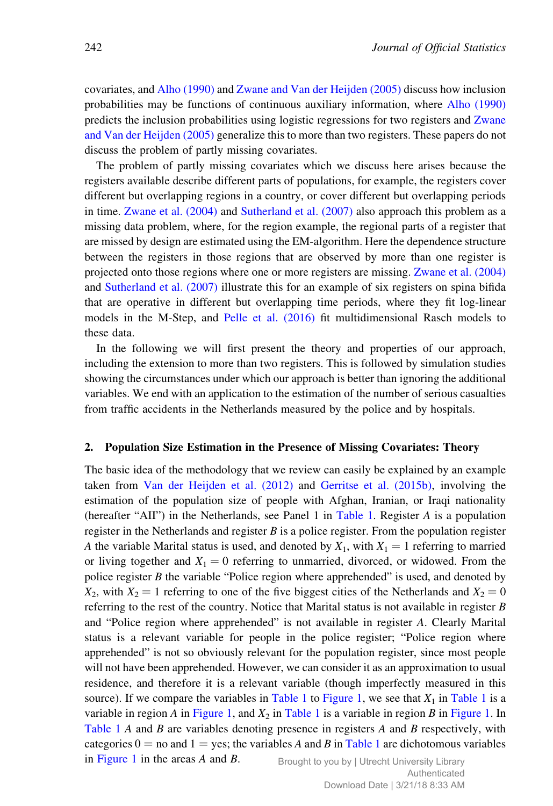covariates, and Alho (1990) and Zwane and Van der Heijden (2005) discuss how inclusion probabilities may be functions of continuous auxiliary information, where Alho (1990) predicts the inclusion probabilities using logistic regressions for two registers and Zwane and Van der Heijden (2005) generalize this to more than two registers. These papers do not discuss the problem of partly missing covariates.

The problem of partly missing covariates which we discuss here arises because the registers available describe different parts of populations, for example, the registers cover different but overlapping regions in a country, or cover different but overlapping periods in time. Zwane et al. (2004) and Sutherland et al. (2007) also approach this problem as a missing data problem, where, for the region example, the regional parts of a register that are missed by design are estimated using the EM-algorithm. Here the dependence structure between the registers in those regions that are observed by more than one register is projected onto those regions where one or more registers are missing. Zwane et al. (2004) and Sutherland et al. (2007) illustrate this for an example of six registers on spina bifida that are operative in different but overlapping time periods, where they fit log-linear models in the M-Step, and Pelle et al. (2016) fit multidimensional Rasch models to these data.

In the following we will first present the theory and properties of our approach, including the extension to more than two registers. This is followed by simulation studies showing the circumstances under which our approach is better than ignoring the additional variables. We end with an application to the estimation of the number of serious casualties from traffic accidents in the Netherlands measured by the police and by hospitals.

#### 2. Population Size Estimation in the Presence of Missing Covariates: Theory

The basic idea of the methodology that we review can easily be explained by an example taken from Van der Heijden et al. (2012) and Gerritse et al. (2015b), involving the estimation of the population size of people with Afghan, Iranian, or Iraqi nationality (hereafter "AII") in the Netherlands, see Panel 1 in Table 1. Register A is a population register in the Netherlands and register  $B$  is a police register. From the population register A the variable Marital status is used, and denoted by  $X_1$ , with  $X_1 = 1$  referring to married or living together and  $X_1 = 0$  referring to unmarried, divorced, or widowed. From the police register B the variable "Police region where apprehended" is used, and denoted by  $X_2$ , with  $X_2 = 1$  referring to one of the five biggest cities of the Netherlands and  $X_2 = 0$ referring to the rest of the country. Notice that Marital status is not available in register  $B$ and "Police region where apprehended" is not available in register A. Clearly Marital status is a relevant variable for people in the police register; "Police region where apprehended" is not so obviously relevant for the population register, since most people will not have been apprehended. However, we can consider it as an approximation to usual residence, and therefore it is a relevant variable (though imperfectly measured in this source). If we compare the variables in Table 1 to Figure 1, we see that  $X_1$  in Table 1 is a variable in region A in Figure 1, and  $X_2$  in Table 1 is a variable in region B in Figure 1. In Table 1 A and B are variables denoting presence in registers  $A$  and  $B$  respectively, with categories  $0 =$  no and  $1 =$  yes; the variables A and B in Table 1 are dichotomous variables in Figure 1 in the areas  $A$  and  $B$ . Brought to you by | Utrecht University Library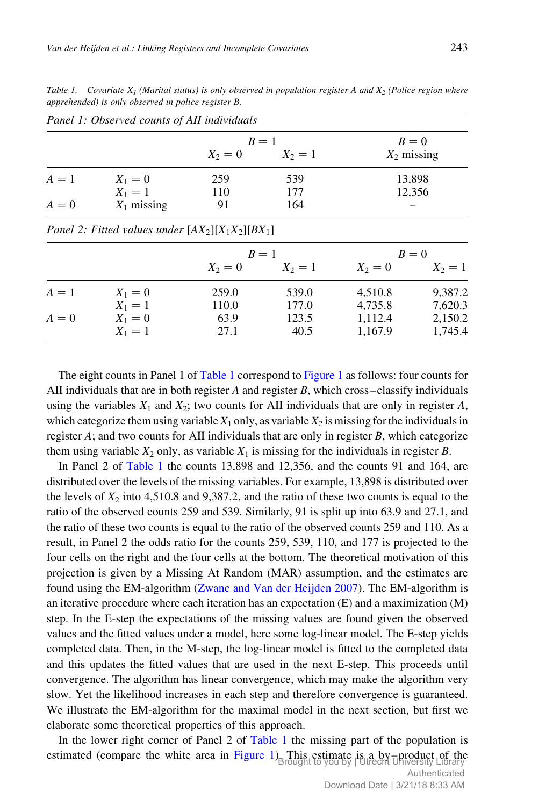|       | Panel 1: Observed counts of AII individuals         |       |                     |                     |               |
|-------|-----------------------------------------------------|-------|---------------------|---------------------|---------------|
|       |                                                     |       | $B=1$               |                     | $B=0$         |
|       |                                                     |       | $X_2 = 0$ $X_2 = 1$ |                     | $X_2$ missing |
| $A=1$ | $X_1 = 0$                                           | 259   | 539                 |                     | 13,898        |
|       | $X_1 = 1$                                           | 110   | 177                 |                     | 12,356        |
| $A=0$ | $X_1$ missing                                       | 91    | 164                 |                     |               |
|       | Panel 2: Fitted values under $[AX_2][X_1X_2][BX_1]$ |       |                     |                     |               |
|       |                                                     |       | $B=1$               | $B=0$               |               |
|       |                                                     |       | $X_2 = 0$ $X_2 = 1$ | $X_2 = 0$ $X_2 = 1$ |               |
| $A=1$ | $X_1 = 0$                                           | 259.0 | 539.0               | 4,510.8             | 9,387.2       |
|       | $X_1 = 1$                                           | 110.0 | 177.0               | 4,735.8             | 7,620.3       |
| $A=0$ | $X_1 = 0$                                           | 63.9  | 123.5               | 1,112.4             | 2,150.2       |
|       | $X_1 = 1$                                           | 27.1  | 40.5                | 1,167.9             | 1,745.4       |

Table 1. Covariate  $X_1$  (Marital status) is only observed in population register A and  $X_2$  (Police region where apprehended) is only observed in police register B.

The eight counts in Panel 1 of Table 1 correspond to Figure 1 as follows: four counts for AII individuals that are in both register A and register B, which cross–classify individuals using the variables  $X_1$  and  $X_2$ ; two counts for AII individuals that are only in register A, which categorize them using variable  $X_1$  only, as variable  $X_2$  is missing for the individuals in register A; and two counts for AII individuals that are only in register B, which categorize them using variable  $X_2$  only, as variable  $X_1$  is missing for the individuals in register B.

In Panel 2 of Table 1 the counts 13,898 and 12,356, and the counts 91 and 164, are distributed over the levels of the missing variables. For example, 13,898 is distributed over the levels of  $X_2$  into 4,510.8 and 9,387.2, and the ratio of these two counts is equal to the ratio of the observed counts 259 and 539. Similarly, 91 is split up into 63.9 and 27.1, and the ratio of these two counts is equal to the ratio of the observed counts 259 and 110. As a result, in Panel 2 the odds ratio for the counts 259, 539, 110, and 177 is projected to the four cells on the right and the four cells at the bottom. The theoretical motivation of this projection is given by a Missing At Random (MAR) assumption, and the estimates are found using the EM-algorithm (Zwane and Van der Heijden 2007). The EM-algorithm is an iterative procedure where each iteration has an expectation (E) and a maximization (M) step. In the E-step the expectations of the missing values are found given the observed values and the fitted values under a model, here some log-linear model. The E-step yields completed data. Then, in the M-step, the log-linear model is fitted to the completed data and this updates the fitted values that are used in the next E-step. This proceeds until convergence. The algorithm has linear convergence, which may make the algorithm very slow. Yet the likelihood increases in each step and therefore convergence is guaranteed. We illustrate the EM-algorithm for the maximal model in the next section, but first we elaborate some theoretical properties of this approach.

In the lower right corner of Panel 2 of Table 1 the missing part of the population is estimated (compare the white area in Figure 1) This estimate is a by-product of the stimate is a by-product of the stimate  $\frac{1}{B}$  and  $\frac{1}{B}$  and  $\frac{1}{B}$  and  $\frac{1}{B}$  and  $\frac{1}{B}$  and  $\frac{1}{B}$  and  $\frac{1}{B}$  and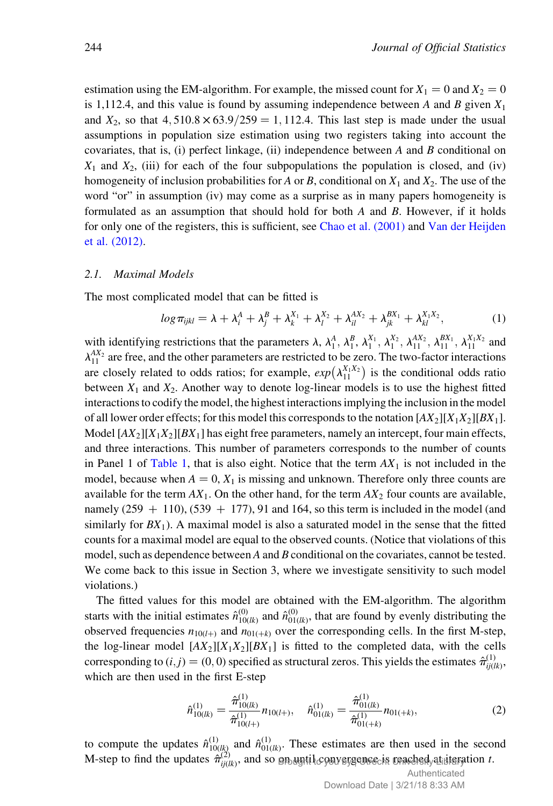estimation using the EM-algorithm. For example, the missed count for  $X_1 = 0$  and  $X_2 = 0$ is 1,112.4, and this value is found by assuming independence between A and B given  $X_1$ and  $X_2$ , so that  $4,510.8 \times 63.9 / 259 = 1,112.4$ . This last step is made under the usual assumptions in population size estimation using two registers taking into account the covariates, that is, (i) perfect linkage, (ii) independence between  $A$  and  $B$  conditional on  $X_1$  and  $X_2$ , (iii) for each of the four subpopulations the population is closed, and (iv) homogeneity of inclusion probabilities for A or B, conditional on  $X_1$  and  $X_2$ . The use of the word "or" in assumption (iv) may come as a surprise as in many papers homogeneity is formulated as an assumption that should hold for both  $A$  and  $B$ . However, if it holds for only one of the registers, this is sufficient, see Chao et al. (2001) and Van der Heijden et al. (2012).

#### 2.1. Maximal Models

The most complicated model that can be fitted is

$$
log \pi_{ijkl} = \lambda + \lambda_i^A + \lambda_j^B + \lambda_k^{X_1} + \lambda_l^{X_2} + \lambda_{il}^{AX_2} + \lambda_{jk}^{BX_1} + \lambda_{kl}^{X_1X_2},
$$
 (1)

with identifying restrictions that the parameters  $\lambda$ ,  $\lambda_1^A$ ,  $\lambda_1^B$ ,  $\lambda_1^{X_1}$ ,  $\lambda_1^{X_2}$ ,  $\lambda_{11}^{AX_1}$ ,  $\lambda_{11}^{X_1X_2}$  and  $\lambda_{11}^{AX_2}$  are free, and the other parameters are restricted to be zero. The two-factor interactions are closely related to odds ratios; for example,  $exp(\lambda_{11}^{X_1X_2})$  is the conditional odds ratio between  $X_1$  and  $X_2$ . Another way to denote log-linear models is to use the highest fitted interactions to codify the model, the highest interactions implying the inclusion in the model of all lower order effects; for this model this corresponds to the notation  $[AX_2][X_1X_2][BX_1]$ . Model  $[AX_2][X_1X_2][BX_1]$  has eight free parameters, namely an intercept, four main effects, and three interactions. This number of parameters corresponds to the number of counts in Panel 1 of Table 1, that is also eight. Notice that the term  $AX_1$  is not included in the model, because when  $A = 0, X_1$  is missing and unknown. Therefore only three counts are available for the term  $AX_1$ . On the other hand, for the term  $AX_2$  four counts are available, namely  $(259 + 110)$ ,  $(539 + 177)$ , 91 and 164, so this term is included in the model (and similarly for  $BX_1$ ). A maximal model is also a saturated model in the sense that the fitted counts for a maximal model are equal to the observed counts. (Notice that violations of this model, such as dependence between A and B conditional on the covariates, cannot be tested. We come back to this issue in Section 3, where we investigate sensitivity to such model violations.)

The fitted values for this model are obtained with the EM-algorithm. The algorithm starts with the initial estimates  $\hat{n}_{10(lk)}^{(0)}$  and  $\hat{n}_{01(lk)}^{(0)}$ , that are found by evenly distributing the observed frequencies  $n_{10(l+)}$  and  $n_{01(k)}$  over the corresponding cells. In the first M-step, the log-linear model  $[AX_2][X_1X_2][BX_1]$  is fitted to the completed data, with the cells corresponding to  $(i, j) = (0, 0)$  specified as structural zeros. This yields the estimates  $\hat{\pi}_{ij(lk)}^{(1)}$ , which are then used in the first E-step

$$
\hat{n}_{10(lk)}^{(1)} = \frac{\hat{\pi}_{10(lk)}^{(1)}}{\hat{\pi}_{10(l+1)}^{(1)}} n_{10(l+1)}, \quad \hat{n}_{01(lk)}^{(1)} = \frac{\hat{\pi}_{01(lk)}^{(1)}}{\hat{\pi}_{01(l+k)}^{(1)}} n_{01(l+k)}, \tag{2}
$$

to compute the updates  $\hat{n}_{10(lk)}^{(1)}$  and  $\hat{n}_{01(lk)}^{(1)}$ . These estimates are then used in the second M-step to find the updates  $\hat{\pi}^{(2)}_{ij(lk)}$ , and so on until convergence is reached at iteration t.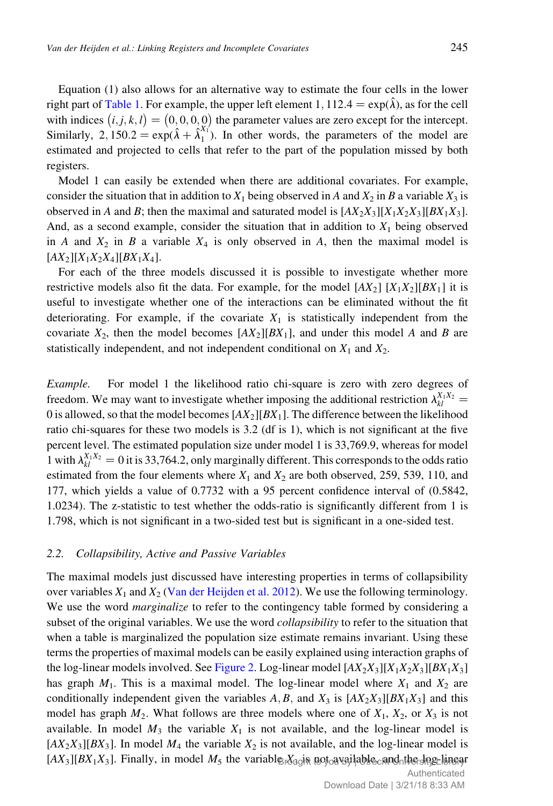Equation (1) also allows for an alternative way to estimate the four cells in the lower right part of Table 1. For example, the upper left element 1, 112.4 =  $\exp(\hat{\lambda})$ , as for the cell with indices  $(i, j, k, l) = (0, 0, 0, 0)$  the parameter values are zero except for the intercept. Similarly,  $2$ ,  $150.2 = \exp(\hat{\lambda} + \hat{\lambda}_1^{X_1})$ . In other words, the parameters of the model are estimated and projected to cells that refer to the part of the population missed by both registers.

Model 1 can easily be extended when there are additional covariates. For example, consider the situation that in addition to  $X_1$  being observed in A and  $X_2$  in B a variable  $X_3$  is observed in A and B; then the maximal and saturated model is  $[AX_2X_3][X_1X_2X_3][BX_1X_3]$ . And, as a second example, consider the situation that in addition to  $X_1$  being observed in A and  $X_2$  in B a variable  $X_4$  is only observed in A, then the maximal model is  $[AX_2][X_1X_2X_4][BX_1X_4].$ 

For each of the three models discussed it is possible to investigate whether more restrictive models also fit the data. For example, for the model  $[AX_2] [X_1X_2][BX_1]$  it is useful to investigate whether one of the interactions can be eliminated without the fit deteriorating. For example, if the covariate  $X_1$  is statistically independent from the covariate  $X_2$ , then the model becomes  $[AX_2][BX_1]$ , and under this model A and B are statistically independent, and not independent conditional on  $X_1$  and  $X_2$ .

Example. For model 1 the likelihood ratio chi-square is zero with zero degrees of freedom. We may want to investigate whether imposing the additional restriction  $\lambda_{kl}^{X_1 X_2}$  = 0 is allowed, so that the model becomes  $[AX_2][BX_1]$ . The difference between the likelihood ratio chi-squares for these two models is 3.2 (df is 1), which is not significant at the five percent level. The estimated population size under model 1 is 33,769.9, whereas for model 1 with  $\lambda_{kl}^{X_1 X_2} = 0$  it is 33,764.2, only marginally different. This corresponds to the odds ratio estimated from the four elements where  $X_1$  and  $X_2$  are both observed, 259, 539, 110, and 177, which yields a value of 0.7732 with a 95 percent confidence interval of (0.5842, 1.0234). The z-statistic to test whether the odds-ratio is significantly different from 1 is 1.798, which is not significant in a two-sided test but is significant in a one-sided test.

#### 2.2. Collapsibility, Active and Passive Variables

The maximal models just discussed have interesting properties in terms of collapsibility over variables  $X_1$  and  $X_2$  (Van der Heijden et al. 2012). We use the following terminology. We use the word *marginalize* to refer to the contingency table formed by considering a subset of the original variables. We use the word *collapsibility* to refer to the situation that when a table is marginalized the population size estimate remains invariant. Using these terms the properties of maximal models can be easily explained using interaction graphs of the log-linear models involved. See Figure 2. Log-linear model  $[AX_2X_3][X_1X_2X_3][BX_1X_3]$ has graph  $M_1$ . This is a maximal model. The log-linear model where  $X_1$  and  $X_2$  are conditionally independent given the variables A, B, and  $X_3$  is  $[AX_2X_3][BX_1X_3]$  and this model has graph  $M_2$ . What follows are three models where one of  $X_1$ ,  $X_2$ , or  $X_3$  is not available. In model  $M_3$  the variable  $X_1$  is not available, and the log-linear model is  $[AX_2X_3][BX_3]$ . In model  $M_4$  the variable  $X_2$  is not available, and the log-linear model is  $[AX_3][BX_1X_3]$ . Finally, in model  $M_5$  the variable  $X_3$  as not available cand the legelinear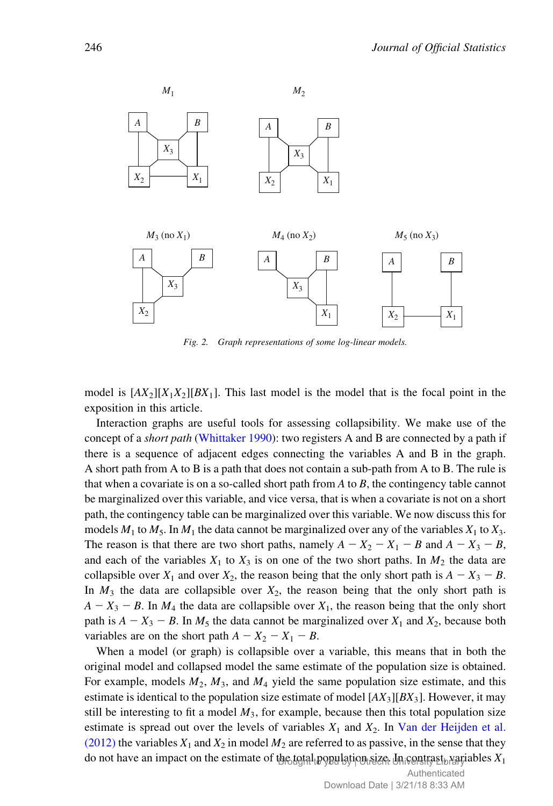

Fig. 2. Graph representations of some log-linear models.

model is  $[AX_2][X_1X_2][BX_1]$ . This last model is the model that is the focal point in the exposition in this article.

Interaction graphs are useful tools for assessing collapsibility. We make use of the concept of a *short path* (Whittaker 1990): two registers A and B are connected by a path if there is a sequence of adjacent edges connecting the variables A and B in the graph. A short path from A to B is a path that does not contain a sub-path from A to B. The rule is that when a covariate is on a so-called short path from  $A$  to  $B$ , the contingency table cannot be marginalized over this variable, and vice versa, that is when a covariate is not on a short path, the contingency table can be marginalized over this variable. We now discuss this for models  $M_1$  to  $M_5$ . In  $M_1$  the data cannot be marginalized over any of the variables  $X_1$  to  $X_3$ . The reason is that there are two short paths, namely  $A - X_2 - X_1 - B$  and  $A - X_3 - B$ , and each of the variables  $X_1$  to  $X_3$  is on one of the two short paths. In  $M_2$  the data are collapsible over  $X_1$  and over  $X_2$ , the reason being that the only short path is  $A - X_3 - B$ . In  $M_3$  the data are collapsible over  $X_2$ , the reason being that the only short path is  $A - X_3 - B$ . In  $M_4$  the data are collapsible over  $X_1$ , the reason being that the only short path is  $A - X_3 - B$ . In  $M_5$  the data cannot be marginalized over  $X_1$  and  $X_2$ , because both variables are on the short path  $A - X_2 - X_1 - B$ .

When a model (or graph) is collapsible over a variable, this means that in both the original model and collapsed model the same estimate of the population size is obtained. For example, models  $M_2$ ,  $M_3$ , and  $M_4$  yield the same population size estimate, and this estimate is identical to the population size estimate of model  $[AX_3][BX_3]$ . However, it may still be interesting to fit a model  $M_3$ , for example, because then this total population size estimate is spread out over the levels of variables  $X_1$  and  $X_2$ . In Van der Heijden et al. (2012) the variables  $X_1$  and  $X_2$  in model  $M_2$  are referred to as passive, in the sense that they do not have an impact on the estimate of the total population size. University  $\ell$  by  $\chi$  are detailed by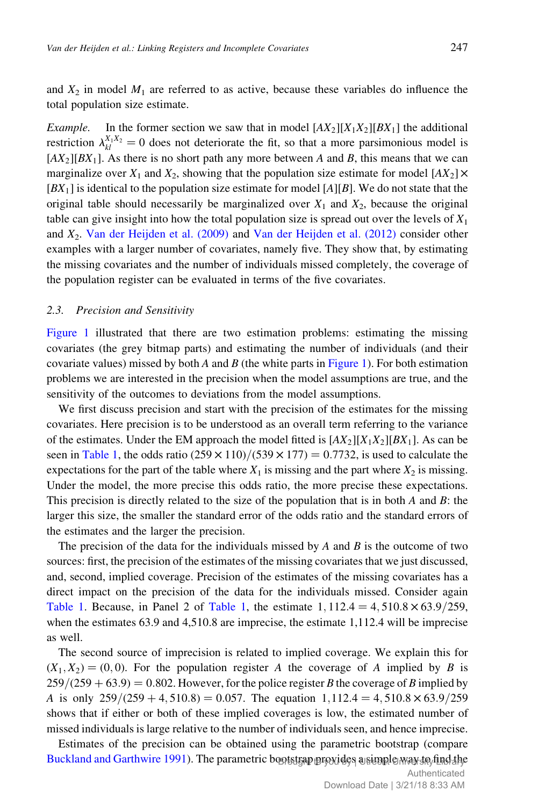and  $X_2$  in model  $M_1$  are referred to as active, because these variables do influence the total population size estimate.

*Example.* In the former section we saw that in model  $[AX_2][X_1X_2][BX_1]$  the additional restriction  $\lambda_{kl}^{X_1 X_2} = 0$  does not deteriorate the fit, so that a more parsimonious model is  $[AX_2][BX_1]$ . As there is no short path any more between A and B, this means that we can marginalize over  $X_1$  and  $X_2$ , showing that the population size estimate for model  $[AX_2] \times$  $[BX_1]$  is identical to the population size estimate for model  $[A][B]$ . We do not state that the original table should necessarily be marginalized over  $X_1$  and  $X_2$ , because the original table can give insight into how the total population size is spread out over the levels of  $X_1$ and  $X_2$ . Van der Heijden et al. (2009) and Van der Heijden et al. (2012) consider other examples with a larger number of covariates, namely five. They show that, by estimating the missing covariates and the number of individuals missed completely, the coverage of the population register can be evaluated in terms of the five covariates.

#### 2.3. Precision and Sensitivity

Figure 1 illustrated that there are two estimation problems: estimating the missing covariates (the grey bitmap parts) and estimating the number of individuals (and their covariate values) missed by both A and B (the white parts in Figure 1). For both estimation problems we are interested in the precision when the model assumptions are true, and the sensitivity of the outcomes to deviations from the model assumptions.

We first discuss precision and start with the precision of the estimates for the missing covariates. Here precision is to be understood as an overall term referring to the variance of the estimates. Under the EM approach the model fitted is  $[AX_2][X_1X_2][BX_1]$ . As can be seen in Table 1, the odds ratio  $(259 \times 110)/(539 \times 177) = 0.7732$ , is used to calculate the expectations for the part of the table where  $X_1$  is missing and the part where  $X_2$  is missing. Under the model, the more precise this odds ratio, the more precise these expectations. This precision is directly related to the size of the population that is in both  $A$  and  $B$ : the larger this size, the smaller the standard error of the odds ratio and the standard errors of the estimates and the larger the precision.

The precision of the data for the individuals missed by A and B is the outcome of two sources: first, the precision of the estimates of the missing covariates that we just discussed, and, second, implied coverage. Precision of the estimates of the missing covariates has a direct impact on the precision of the data for the individuals missed. Consider again Table 1. Because, in Panel 2 of Table 1, the estimate  $1,112.4 = 4,510.8 \times 63.9/259$ , when the estimates 63.9 and 4,510.8 are imprecise, the estimate 1,112.4 will be imprecise as well.

The second source of imprecision is related to implied coverage. We explain this for  $(X_1, X_2) = (0, 0)$ . For the population register A the coverage of A implied by B is  $259/(259 + 63.9) = 0.802$ . However, for the police register B the coverage of B implied by A is only  $259/(259 + 4, 510.8) = 0.057$ . The equation  $1,112.4 = 4,510.8 \times 63.9/259$ shows that if either or both of these implied coverages is low, the estimated number of missed individuals is large relative to the number of individuals seen, and hence imprecise.

Estimates of the precision can be obtained using the parametric bootstrap (compare Buckland and Garthwire 1991). The parametric bootstrap provides a simple way to find the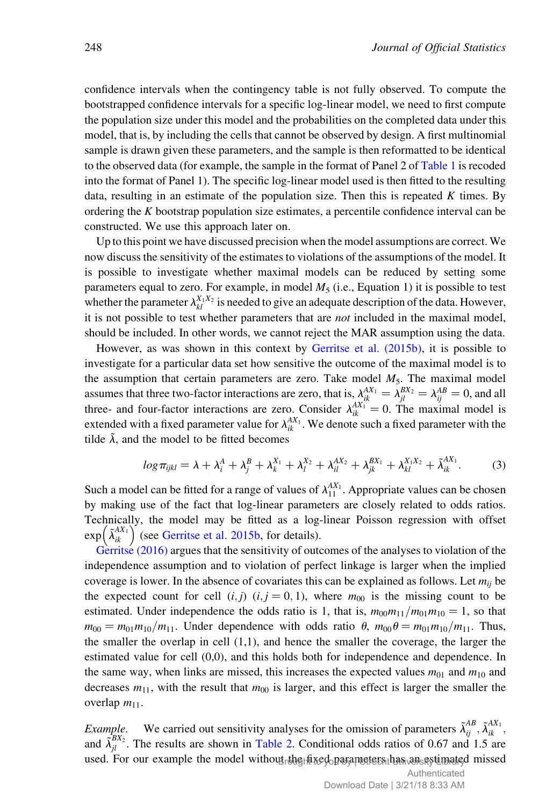confidence intervals when the contingency table is not fully observed. To compute the bootstrapped confidence intervals for a specific log-linear model, we need to first compute the population size under this model and the probabilities on the completed data under this model, that is, by including the cells that cannot be observed by design. A first multinomial sample is drawn given these parameters, and the sample is then reformatted to be identical to the observed data (for example, the sample in the format of Panel 2 of Table 1 is recoded into the format of Panel 1). The specific log-linear model used is then fitted to the resulting data, resulting in an estimate of the population size. Then this is repeated  $K$  times. By ordering the  $K$  bootstrap population size estimates, a percentile confidence interval can be constructed. We use this approach later on.

Up to this point we have discussed precision when the model assumptions are correct. We now discuss the sensitivity of the estimates to violations of the assumptions of the model. It is possible to investigate whether maximal models can be reduced by setting some parameters equal to zero. For example, in model  $M_5$  (i.e., Equation 1) it is possible to test whether the parameter  $\lambda_{kl}^{X_1 X_2}$  is needed to give an adequate description of the data. However, it is not possible to test whether parameters that are not included in the maximal model, should be included. In other words, we cannot reject the MAR assumption using the data.

However, as was shown in this context by Gerritse et al. (2015b), it is possible to investigate for a particular data set how sensitive the outcome of the maximal model is to the assumption that certain parameters are zero. Take model  $M_5$ . The maximal model assumes that three two-factor interactions are zero, that is,  $\lambda_{ik}^{AX_1} = \lambda_{jl}^{BX_2} = \lambda_{ij}^{AB} = 0$ , and all three- and four-factor interactions are zero. Consider  $\lambda_{ik}^{AX_1} = 0$ . The maximal model is extended with a fixed parameter value for  $\lambda_{ik}^{AX_1}$ . We denote such a fixed parameter with the tilde  $\tilde{\lambda}$ , and the model to be fitted becomes

$$
log \pi_{ijkl} = \lambda + \lambda_i^A + \lambda_j^B + \lambda_k^{X_1} + \lambda_l^{X_2} + \lambda_{il}^{AX_2} + \lambda_{jk}^{BX_1} + \lambda_{kl}^{X_1X_2} + \tilde{\lambda}_{ik}^{AX_1}.
$$
 (3)

Such a model can be fitted for a range of values of  $\lambda_{11}^{AX_1}$ . Appropriate values can be chosen by making use of the fact that log-linear parameters are closely related to odds ratios. Technically, the model may be fitted as a log-linear Poisson regression with offset rechilically, the model may be fitted as a log-<br>exp $(\tilde{\lambda}_{ik}^{(X_1)})$  (see Gerritse et al. 2015b, for details).

Gerritse (2016) argues that the sensitivity of outcomes of the analyses to violation of the independence assumption and to violation of perfect linkage is larger when the implied coverage is lower. In the absence of covariates this can be explained as follows. Let  $m_{ij}$  be the expected count for cell  $(i, j)$   $(i, j = 0, 1)$ , where  $m_{00}$  is the missing count to be estimated. Under independence the odds ratio is 1, that is,  $m_{00}m_{11}/m_{01}m_{10} = 1$ , so that  $m_{00} = m_{01}m_{10}/m_{11}$ . Under dependence with odds ratio  $\theta$ ,  $m_{00}\theta = m_{01}m_{10}/m_{11}$ . Thus, the smaller the overlap in cell (1,1), and hence the smaller the coverage, the larger the estimated value for cell (0,0), and this holds both for independence and dependence. In the same way, when links are missed, this increases the expected values  $m_{01}$  and  $m_{10}$  and decreases  $m_{11}$ , with the result that  $m_{00}$  is larger, and this effect is larger the smaller the overlap  $m_{11}$ .

*Example.* We carried out sensitivity analyses for the omission of parameters  $\tilde{\lambda}_{ij}^{AB}$ ,  $\tilde{\lambda}_{ik}^{AX_1}$ , and  $\tilde{\lambda}_{jl}^{BX_2}$ . The results are shown in Table 2. Conditional odds ratios of 0.67 and 1.5 are used. For our example the model without the fixed parameters has an estimated missed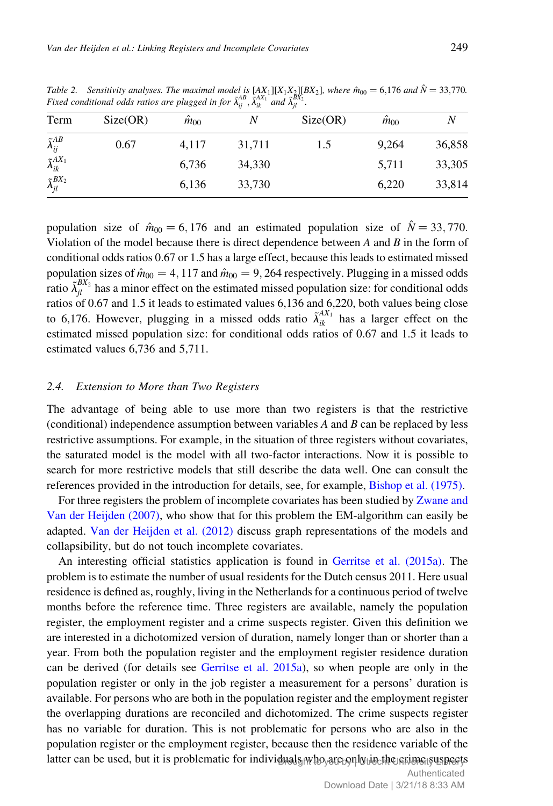|                               | Fixed conditional odds ratios are plugged in for $\tilde{\lambda}_{ii}^{AB}$ , $\tilde{\lambda}_{ik}^{AX_1}$ and $\tilde{\lambda}_{ii}^{BX_2}$ . |                |        |          |                |        |
|-------------------------------|--------------------------------------------------------------------------------------------------------------------------------------------------|----------------|--------|----------|----------------|--------|
| Term                          | Size(OR)                                                                                                                                         | $\hat{m}_{00}$ |        | Size(OR) | $\hat{m}_{00}$ |        |
| $\tilde{\lambda}_{ij}^{AB}$   | 0.67                                                                                                                                             | 4,117          | 31,711 | 1.5      | 9.264          | 36,858 |
| $\tilde{\lambda}_{ik}^{AX_1}$ |                                                                                                                                                  | 6,736          | 34,330 |          | 5,711          | 33,305 |
| $\tilde{\lambda}_{il}^{BX_2}$ |                                                                                                                                                  | 6,136          | 33,730 |          | 6.220          | 33,814 |

population size of  $\hat{m}_{00} = 6,176$  and an estimated population size of  $\hat{N} = 33,770$ . Violation of the model because there is direct dependence between  $A$  and  $B$  in the form of conditional odds ratios 0.67 or 1.5 has a large effect, because this leads to estimated missed population sizes of  $\hat{m}_{00} = 4$ , 117 and  $\hat{m}_{00} = 9$ , 264 respectively. Plugging in a missed odds ratio  $\tilde{\lambda}_{jl}^{BX_2}$  has a minor effect on the estimated missed population size: for conditional odds ratios of 0.67 and 1.5 it leads to estimated values 6,136 and 6,220, both values being close to 6,176. However, plugging in a missed odds ratio  $\tilde{\lambda}_{ik}^{AX_1}$  has a larger effect on the estimated missed population size: for conditional odds ratios of 0.67 and 1.5 it leads to estimated values 6,736 and 5,711.

#### 2.4. Extension to More than Two Registers

The advantage of being able to use more than two registers is that the restrictive (conditional) independence assumption between variables  $A$  and  $B$  can be replaced by less restrictive assumptions. For example, in the situation of three registers without covariates, the saturated model is the model with all two-factor interactions. Now it is possible to search for more restrictive models that still describe the data well. One can consult the references provided in the introduction for details, see, for example, Bishop et al. (1975).

For three registers the problem of incomplete covariates has been studied by Zwane and Van der Heijden (2007), who show that for this problem the EM-algorithm can easily be adapted. Van der Heijden et al. (2012) discuss graph representations of the models and collapsibility, but do not touch incomplete covariates.

An interesting official statistics application is found in Gerritse et al. (2015a). The problem is to estimate the number of usual residents for the Dutch census 2011. Here usual residence is defined as, roughly, living in the Netherlands for a continuous period of twelve months before the reference time. Three registers are available, namely the population register, the employment register and a crime suspects register. Given this definition we are interested in a dichotomized version of duration, namely longer than or shorter than a year. From both the population register and the employment register residence duration can be derived (for details see Gerritse et al. 2015a), so when people are only in the population register or only in the job register a measurement for a persons' duration is available. For persons who are both in the population register and the employment register the overlapping durations are reconciled and dichotomized. The crime suspects register has no variable for duration. This is not problematic for persons who are also in the population register or the employment register, because then the residence variable of the latter can be used, but it is problematic for individual<sub>9/W</sub>ho<sub>/</sub>are.only.tiachte.stianstyuspects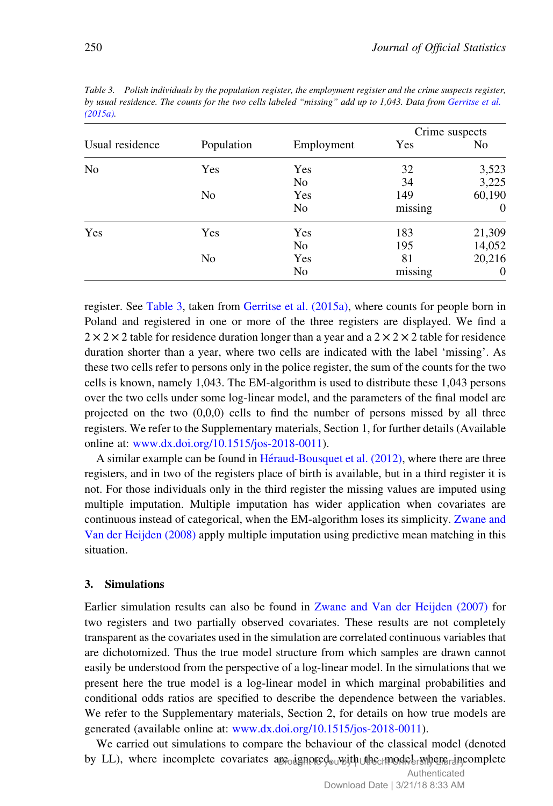|                 |                |                | Crime suspects |                |
|-----------------|----------------|----------------|----------------|----------------|
| Usual residence | Population     | Employment     | Yes            | N <sub>0</sub> |
| N <sub>0</sub>  | <b>Yes</b>     | Yes            | 32             | 3,523          |
|                 |                | No             | 34             | 3,225          |
|                 | No             | Yes            | 149            | 60,190         |
|                 |                | No             | missing        | $\Omega$       |
| Yes             | <b>Yes</b>     | Yes            | 183            | 21,309         |
|                 |                | N <sub>0</sub> | 195            | 14,052         |
|                 | N <sub>0</sub> | Yes            | 81             | 20,216         |
|                 |                | No             | missing        | $\Omega$       |

Table 3. Polish individuals by the population register, the employment register and the crime suspects register, by usual residence. The counts for the two cells labeled "missing" add up to 1,043. Data from Gerritse et al.  $(2015a)$ 

register. See Table 3, taken from Gerritse et al. (2015a), where counts for people born in Poland and registered in one or more of the three registers are displayed. We find a  $2 \times 2 \times 2$  table for residence duration longer than a year and a  $2 \times 2 \times 2$  table for residence duration shorter than a year, where two cells are indicated with the label 'missing'. As these two cells refer to persons only in the police register, the sum of the counts for the two cells is known, namely 1,043. The EM-algorithm is used to distribute these 1,043 persons over the two cells under some log-linear model, and the parameters of the final model are projected on the two (0,0,0) cells to find the number of persons missed by all three registers. We refer to the Supplementary materials, Section 1, for further details (Available online at: [www.dx.doi.org/10.1515/jos-2018-0011](http://www.dx.doi.org/10.1515/jos-2018-0011)).

A similar example can be found in  $Héraud-Bousquet et al. (2012)$ , where there are three registers, and in two of the registers place of birth is available, but in a third register it is not. For those individuals only in the third register the missing values are imputed using multiple imputation. Multiple imputation has wider application when covariates are continuous instead of categorical, when the EM-algorithm loses its simplicity. Zwane and Van der Heijden (2008) apply multiple imputation using predictive mean matching in this situation.

## 3. Simulations

Earlier simulation results can also be found in Zwane and Van der Heijden (2007) for two registers and two partially observed covariates. These results are not completely transparent as the covariates used in the simulation are correlated continuous variables that are dichotomized. Thus the true model structure from which samples are drawn cannot easily be understood from the perspective of a log-linear model. In the simulations that we present here the true model is a log-linear model in which marginal probabilities and conditional odds ratios are specified to describe the dependence between the variables. We refer to the Supplementary materials, Section 2, for details on how true models are generated (available online at: [www.dx.doi.org/10.1515/jos-2018-0011](http://www.dx.doi.org/10.1515/jos-2018-0011)).

We carried out simulations to compare the behaviour of the classical model (denoted by LL), where incomplete covariates applique douwith the model where an complete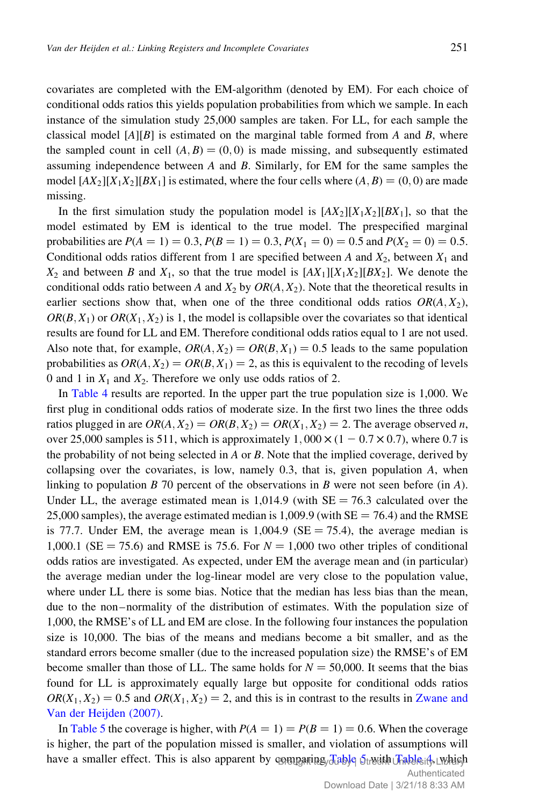covariates are completed with the EM-algorithm (denoted by EM). For each choice of conditional odds ratios this yields population probabilities from which we sample. In each instance of the simulation study 25,000 samples are taken. For LL, for each sample the classical model  $[A][B]$  is estimated on the marginal table formed from A and B, where the sampled count in cell  $(A, B) = (0, 0)$  is made missing, and subsequently estimated assuming independence between A and B. Similarly, for EM for the same samples the model  $[AX_2][X_1X_2][BX_1]$  is estimated, where the four cells where  $(A, B) = (0, 0)$  are made missing.

In the first simulation study the population model is  $[AX_2][X_1X_2][BX_1]$ , so that the model estimated by EM is identical to the true model. The prespecified marginal probabilities are  $P(A = 1) = 0.3$ ,  $P(B = 1) = 0.3$ ,  $P(X_1 = 0) = 0.5$  and  $P(X_2 = 0) = 0.5$ . Conditional odds ratios different from 1 are specified between A and  $X_2$ , between  $X_1$  and  $X_2$  and between B and  $X_1$ , so that the true model is  $[AX_1][X_1X_2][BX_2]$ . We denote the conditional odds ratio between A and  $X_2$  by  $OR(A, X_2)$ . Note that the theoretical results in earlier sections show that, when one of the three conditional odds ratios  $OR(A, X_2)$ ,  $OR(B, X_1)$  or  $OR(X_1, X_2)$  is 1, the model is collapsible over the covariates so that identical results are found for LL and EM. Therefore conditional odds ratios equal to 1 are not used. Also note that, for example,  $OR(A, X_2) = OR(B, X_1) = 0.5$  leads to the same population probabilities as  $OR(A, X_2) = OR(B, X_1) = 2$ , as this is equivalent to the recoding of levels 0 and 1 in  $X_1$  and  $X_2$ . Therefore we only use odds ratios of 2.

In Table 4 results are reported. In the upper part the true population size is 1,000. We first plug in conditional odds ratios of moderate size. In the first two lines the three odds ratios plugged in are  $OR(A, X_2) = OR(B, X_2) = OR(X_1, X_2) = 2$ . The average observed n, over 25,000 samples is 511, which is approximately  $1,000 \times (1 - 0.7 \times 0.7)$ , where 0.7 is the probability of not being selected in A or B. Note that the implied coverage, derived by collapsing over the covariates, is low, namely  $0.3$ , that is, given population  $A$ , when linking to population B 70 percent of the observations in B were not seen before (in A). Under LL, the average estimated mean is  $1,014.9$  (with SE = 76.3 calculated over the 25,000 samples), the average estimated median is  $1,009.9$  (with  $SE = 76.4$ ) and the RMSE is 77.7. Under EM, the average mean is  $1,004.9$  (SE = 75.4), the average median is 1,000.1 (SE = 75.6) and RMSE is 75.6. For  $N = 1,000$  two other triples of conditional odds ratios are investigated. As expected, under EM the average mean and (in particular) the average median under the log-linear model are very close to the population value, where under LL there is some bias. Notice that the median has less bias than the mean, due to the non–normality of the distribution of estimates. With the population size of 1,000, the RMSE's of LL and EM are close. In the following four instances the population size is 10,000. The bias of the means and medians become a bit smaller, and as the standard errors become smaller (due to the increased population size) the RMSE's of EM become smaller than those of LL. The same holds for  $N = 50,000$ . It seems that the bias found for LL is approximately equally large but opposite for conditional odds ratios  $OR(X_1, X_2) = 0.5$  and  $OR(X_1, X_2) = 2$ , and this is in contrast to the results in Zwane and Van der Heijden (2007).

In Table 5 the coverage is higher, with  $P(A = 1) = P(B = 1) = 0.6$ . When the coverage is higher, the part of the population missed is smaller, and violation of assumptions will have a smaller effect. This is also apparent by comparing Jable Strecht Table if which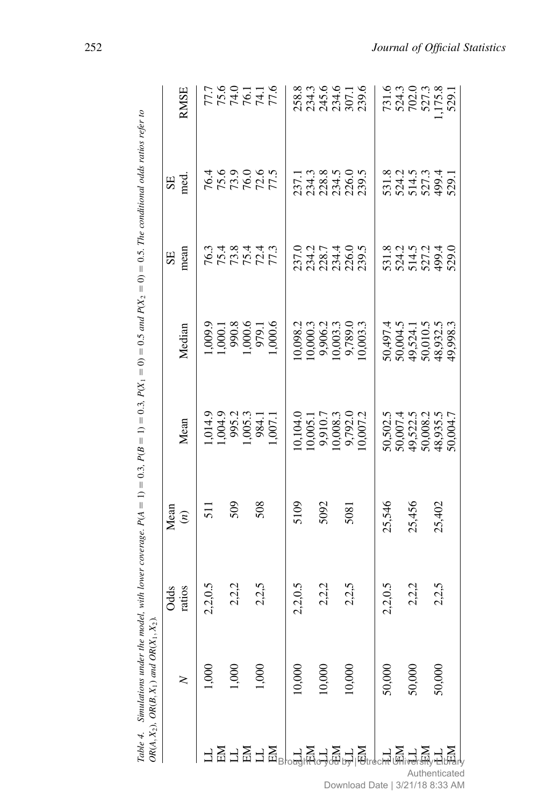|                                                                                                       | $OR(A, X_2)$ , $OR(B, X_1)$ and $OR(X_1, X_2)$ . |                |                             |                                                                      |                                                                                                |                                           |                                          |                                             |
|-------------------------------------------------------------------------------------------------------|--------------------------------------------------|----------------|-----------------------------|----------------------------------------------------------------------|------------------------------------------------------------------------------------------------|-------------------------------------------|------------------------------------------|---------------------------------------------|
|                                                                                                       |                                                  |                |                             |                                                                      |                                                                                                | <b>SE</b>                                 |                                          |                                             |
|                                                                                                       |                                                  | Odds<br>ratios | Mean<br>$\stackrel{(n)}{=}$ | Mean                                                                 | Median                                                                                         | mean                                      | SE<br>med.                               | <b>RMSE</b>                                 |
|                                                                                                       | 8                                                | 2,2,0.5        | $\overline{51}$             |                                                                      |                                                                                                |                                           |                                          |                                             |
|                                                                                                       |                                                  |                |                             |                                                                      |                                                                                                |                                           |                                          |                                             |
|                                                                                                       | 000                                              | 2,2,2          | 509                         |                                                                      |                                                                                                | 7777777<br>67877777                       | 7627625<br>7626277                       | 777777<br>7777777<br>777777                 |
|                                                                                                       |                                                  |                |                             |                                                                      |                                                                                                |                                           |                                          |                                             |
|                                                                                                       | 000                                              | 2,2,5          | 508                         |                                                                      |                                                                                                |                                           |                                          |                                             |
|                                                                                                       |                                                  |                |                             | 1,014.9<br>1,004.9<br>995.2<br>1,005.3<br>984.1<br>1,007.1           | 1,009.9<br>1,000.1<br>990.8<br>979.1<br>979.1<br>1,000.6                                       |                                           |                                          |                                             |
| 금 <u>명</u> 금요 국 EleraditHo4qa pÀl <sub>l</sub> aftecur <u>minerari</u><br>금요 금요 극요 그중 그중 그중 _ 그 요 그 요 | 10,000                                           | 2,2,0.5        | 5109                        | 10,104.0<br>10,005.1<br>10,008.3<br>10,008.3<br>9,792.0<br>10,007.2  |                                                                                                |                                           |                                          |                                             |
|                                                                                                       |                                                  |                |                             |                                                                      |                                                                                                |                                           |                                          |                                             |
|                                                                                                       | 10,000                                           | 2,2,2          | 5092                        |                                                                      |                                                                                                |                                           |                                          |                                             |
|                                                                                                       |                                                  |                |                             |                                                                      |                                                                                                |                                           |                                          |                                             |
|                                                                                                       | 0.000                                            | 2,2,5          | 5081                        |                                                                      |                                                                                                |                                           |                                          |                                             |
|                                                                                                       |                                                  |                |                             |                                                                      | $\begin{array}{l} 0.098.2 \\ 0.0003.3 \\ 9.906.2 \\ 9.789.0 \\ 9.789.0 \\ 9.003.3 \end{array}$ | 237.0<br>234.7<br>238.7<br>239.5<br>239.5 | 1713<br>234.3<br>234.5<br>239.5<br>239.5 | 88.3<br>2345.45<br>2354.58<br>239.6         |
|                                                                                                       | 50,000                                           | 2,2,0.5        | 25,546                      | 50,502.5<br>50,007.4<br>50,008.2<br>50,008.5<br>48,935.5<br>50,004.7 | 50,497.4<br>50,004.5<br>50,004.5<br>50,010.5<br>49,998.3<br>49,998.3                           | 531.5<br>524.5<br>525<br>5299.5<br>529    | 531.8<br>524.5<br>527.3<br>529.1         | 731.6<br>7324.3<br>702.0<br>7527.3<br>529.1 |
|                                                                                                       |                                                  |                |                             |                                                                      |                                                                                                |                                           |                                          |                                             |
|                                                                                                       | 50,000                                           | 2,2,2          | 25,456                      |                                                                      |                                                                                                |                                           |                                          |                                             |
|                                                                                                       |                                                  |                |                             |                                                                      |                                                                                                |                                           |                                          |                                             |
|                                                                                                       | 50,000                                           | 2,2,5          | 25,402                      |                                                                      |                                                                                                |                                           |                                          |                                             |
| Authenticated                                                                                         |                                                  |                |                             |                                                                      |                                                                                                |                                           |                                          |                                             |
|                                                                                                       |                                                  |                |                             |                                                                      |                                                                                                |                                           |                                          |                                             |

Table 4. Simulations under the model, with lower coverage.  $P(A = 1) = 0.3$ ,  $P(B = 1) = 0.3$ ,  $P(X_1 = 0) = 0.5$  and  $P(X_2 = 0) = 0.5$ . The conditional odds ratios refer to Table 4. Simulations under the model, with lower coverage.  $P(A = 1) = 0.3$ ,  $P(B = 1) = 0.3$ ,  $P(X_1 = 0) = 0.5$  and  $P(X_2 = 0) = 0.5$ . The conditional odds ratios refer to

Download Date | 3/21/18 8:33 AM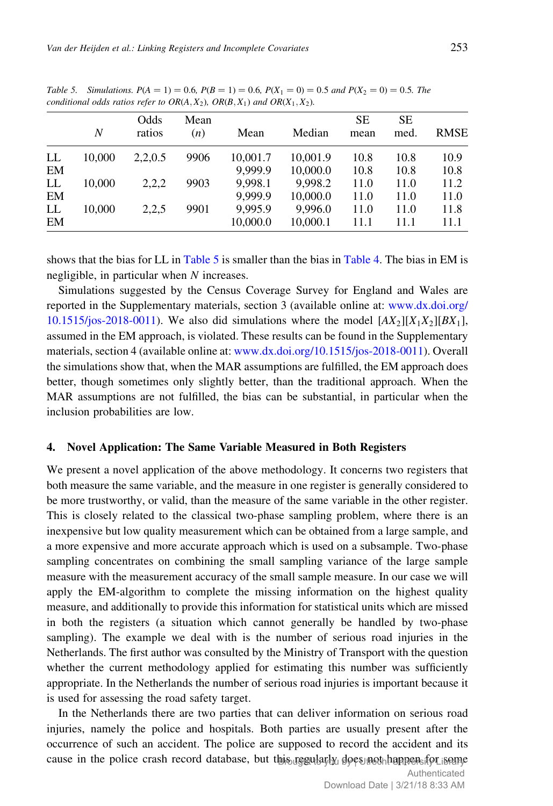|    | N      | Odds<br>ratios | Mean<br>(n) | Mean     | Median   | <b>SE</b><br>mean | <b>SE</b><br>med. | <b>RMSE</b> |
|----|--------|----------------|-------------|----------|----------|-------------------|-------------------|-------------|
| LL | 10.000 | 2,2,0.5        | 9906        | 10,001.7 | 10.001.9 | 10.8              | 10.8              | 10.9        |
| EM |        |                |             | 9.999.9  | 10,000.0 | 10.8              | 10.8              | 10.8        |
| LL | 10.000 | 2,2,2          | 9903        | 9,998.1  | 9,998.2  | 11.0              | 11.0              | 11.2        |
| EM |        |                |             | 9.999.9  | 10,000.0 | 11.0              | 11.0              | 11.0        |
| LL | 10.000 | 2,2,5          | 9901        | 9.995.9  | 9.996.0  | 11.0              | 11.0              | 11.8        |
| EM |        |                |             | 10,000.0 | 10,000.1 | 11.1              | 11.1              | 11.1        |

Table 5. Simulations.  $P(A = 1) = 0.6$ ,  $P(B = 1) = 0.6$ ,  $P(X_1 = 0) = 0.5$  and  $P(X_2 = 0) = 0.5$ . The conditional odds ratios refer to  $OR(A, X_2)$ ,  $OR(B, X_1)$  and  $OR(X_1, X_2)$ .

shows that the bias for LL in Table 5 is smaller than the bias in Table 4. The bias in EM is negligible, in particular when N increases.

Simulations suggested by the Census Coverage Survey for England and Wales are reported in the Supplementary materials, section 3 (available online at: [www.dx.doi.org/](http://www.dx.doi.org/10.1515/jos-2018-0011) [10.1515/jos-2018-0011](http://www.dx.doi.org/10.1515/jos-2018-0011)). We also did simulations where the model  $[AX_2][X_1X_2][BX_1]$ , assumed in the EM approach, is violated. These results can be found in the Supplementary materials, section 4 (available online at: [www.dx.doi.org/10.1515/jos-2018-0011](http://www.dx.doi.org/10.1515/jos-2018-0011)). Overall the simulations show that, when the MAR assumptions are fulfilled, the EM approach does better, though sometimes only slightly better, than the traditional approach. When the MAR assumptions are not fulfilled, the bias can be substantial, in particular when the inclusion probabilities are low.

## 4. Novel Application: The Same Variable Measured in Both Registers

We present a novel application of the above methodology. It concerns two registers that both measure the same variable, and the measure in one register is generally considered to be more trustworthy, or valid, than the measure of the same variable in the other register. This is closely related to the classical two-phase sampling problem, where there is an inexpensive but low quality measurement which can be obtained from a large sample, and a more expensive and more accurate approach which is used on a subsample. Two-phase sampling concentrates on combining the small sampling variance of the large sample measure with the measurement accuracy of the small sample measure. In our case we will apply the EM-algorithm to complete the missing information on the highest quality measure, and additionally to provide this information for statistical units which are missed in both the registers (a situation which cannot generally be handled by two-phase sampling). The example we deal with is the number of serious road injuries in the Netherlands. The first author was consulted by the Ministry of Transport with the question whether the current methodology applied for estimating this number was sufficiently appropriate. In the Netherlands the number of serious road injuries is important because it is used for assessing the road safety target.

In the Netherlands there are two parties that can deliver information on serious road injuries, namely the police and hospitals. Both parties are usually present after the occurrence of such an accident. The police are supposed to record the accident and its cause in the police crash record database, but this regularly does not happen for some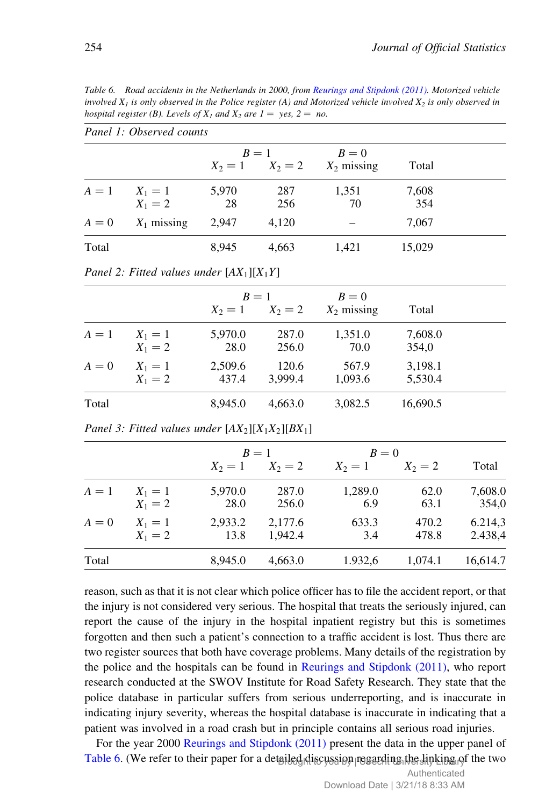Table 6. Road accidents in the Netherlands in 2000, from Reurings and Stipdonk (2011). Motorized vehicle involved  $X_1$  is only observed in the Police register (A) and Motorized vehicle involved  $X_2$  is only observed in hospital register (B). Levels of  $X_1$  and  $X_2$  are  $1 = \text{yes}, 2 = \text{no}.$ 

|         | Panet 1: Observed counts       |             |                              |                        |              |  |
|---------|--------------------------------|-------------|------------------------------|------------------------|--------------|--|
|         |                                |             | $B=1$<br>$X_2 = 1$ $X_2 = 2$ | $B=0$<br>$X_2$ missing | Total        |  |
|         | $A = 1$ $X_1 = 1$<br>$X_1 = 2$ | 5,970<br>28 | 287<br>256                   | 1,351<br>70            | 7,608<br>354 |  |
| $A = 0$ | $X_1$ missing                  | 2,947       | 4.120                        |                        | 7,067        |  |
| Total   |                                | 8,945       | 4.663                        | 1,421                  | 15,029       |  |

Panel 1: Observed counts

|  |  | Panel 2: Fitted values under $[AX_1][X_1Y]$ |
|--|--|---------------------------------------------|
|--|--|---------------------------------------------|

|       |           |         | $R=1$   | $B=0$         |          |  |
|-------|-----------|---------|---------|---------------|----------|--|
|       |           | $X_2=1$ | $X_2=2$ | $X_2$ missing | Total    |  |
| $A=1$ | $X_1 = 1$ | 5,970.0 | 287.0   | 1,351.0       | 7,608.0  |  |
|       | $X_1 = 2$ | 28.0    | 256.0   | 70.0          | 354,0    |  |
| $A=0$ | $X_1 = 1$ | 2,509.6 | 120.6   | 567.9         | 3,198.1  |  |
|       | $X_1 = 2$ | 437.4   | 3.999.4 | 1,093.6       | 5,530.4  |  |
| Total |           | 8,945.0 | 4,663.0 | 3,082.5       | 16,690.5 |  |

Panel 3: Fitted values under  $[AX_2][X_1X_2][BX_1]$ 

|       |                        |                 | $R=1$              | $B=0$          |                |                    |
|-------|------------------------|-----------------|--------------------|----------------|----------------|--------------------|
|       |                        | $X_2=1$         | $X_2 = 2$          | $X_2=1$        | $X_2=2$        | Total              |
| $A=1$ | $X_1 = 1$<br>$X_1 = 2$ | 5,970.0<br>28.0 | 287.0<br>256.0     | 1,289.0<br>6.9 | 62.0<br>63.1   | 7,608.0<br>354,0   |
| $A=0$ | $X_1 = 1$<br>$X_1 = 2$ | 2,933.2<br>13.8 | 2,177.6<br>1.942.4 | 633.3<br>3.4   | 470.2<br>478.8 | 6.214,3<br>2.438,4 |
| Total |                        | 8.945.0         | 4,663.0            | 1.932,6        | 1.074.1        | 16,614.7           |

reason, such as that it is not clear which police officer has to file the accident report, or that the injury is not considered very serious. The hospital that treats the seriously injured, can report the cause of the injury in the hospital inpatient registry but this is sometimes forgotten and then such a patient's connection to a traffic accident is lost. Thus there are two register sources that both have coverage problems. Many details of the registration by the police and the hospitals can be found in Reurings and Stipdonk (2011), who report research conducted at the SWOV Institute for Road Safety Research. They state that the police database in particular suffers from serious underreporting, and is inaccurate in indicating injury severity, whereas the hospital database is inaccurate in indicating that a patient was involved in a road crash but in principle contains all serious road injuries.

For the year 2000 Reurings and Stipdonk (2011) present the data in the upper panel of Table 6. (We refer to their paper for a detailed discussion regarding the linking of the two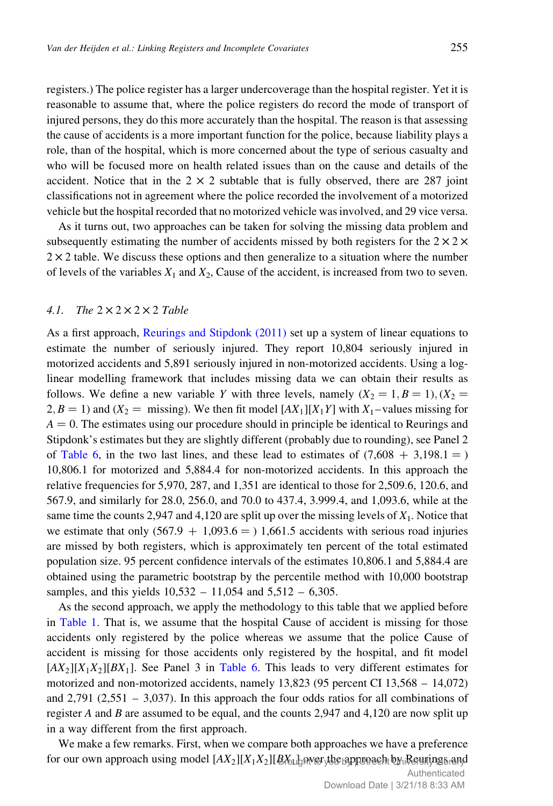registers.) The police register has a larger undercoverage than the hospital register. Yet it is reasonable to assume that, where the police registers do record the mode of transport of injured persons, they do this more accurately than the hospital. The reason is that assessing the cause of accidents is a more important function for the police, because liability plays a role, than of the hospital, which is more concerned about the type of serious casualty and who will be focused more on health related issues than on the cause and details of the accident. Notice that in the  $2 \times 2$  subtable that is fully observed, there are 287 joint classifications not in agreement where the police recorded the involvement of a motorized vehicle but the hospital recorded that no motorized vehicle was involved, and 29 vice versa.

As it turns out, two approaches can be taken for solving the missing data problem and subsequently estimating the number of accidents missed by both registers for the  $2 \times 2 \times$  $2 \times 2$  table. We discuss these options and then generalize to a situation where the number of levels of the variables  $X_1$  and  $X_2$ , Cause of the accident, is increased from two to seven.

## 4.1. The  $2 \times 2 \times 2 \times 2$  Table

As a first approach, Reurings and Stipdonk (2011) set up a system of linear equations to estimate the number of seriously injured. They report 10,804 seriously injured in motorized accidents and 5,891 seriously injured in non-motorized accidents. Using a loglinear modelling framework that includes missing data we can obtain their results as follows. We define a new variable Y with three levels, namely  $(X_2 = 1, B = 1), (X_2 = 1, B = 1)$  $2, B = 1$ ) and  $(X_2 = \text{missing})$ . We then fit model  $[AX_1][X_1Y]$  with  $X_1$ -values missing for  $A = 0$ . The estimates using our procedure should in principle be identical to Reurings and Stipdonk's estimates but they are slightly different (probably due to rounding), see Panel 2 of Table 6, in the two last lines, and these lead to estimates of  $(7,608 + 3,198.1 = )$ 10,806.1 for motorized and 5,884.4 for non-motorized accidents. In this approach the relative frequencies for 5,970, 287, and 1,351 are identical to those for 2,509.6, 120.6, and 567.9, and similarly for 28.0, 256.0, and 70.0 to 437.4, 3.999.4, and 1,093.6, while at the same time the counts 2,947 and 4,120 are split up over the missing levels of  $X_1$ . Notice that we estimate that only  $(567.9 + 1,093.6 = 1,661.5$  accidents with serious road injuries are missed by both registers, which is approximately ten percent of the total estimated population size. 95 percent confidence intervals of the estimates 10,806.1 and 5,884.4 are obtained using the parametric bootstrap by the percentile method with 10,000 bootstrap samples, and this yields 10,532 – 11,054 and 5,512 – 6,305.

As the second approach, we apply the methodology to this table that we applied before in Table 1. That is, we assume that the hospital Cause of accident is missing for those accidents only registered by the police whereas we assume that the police Cause of accident is missing for those accidents only registered by the hospital, and fit model  $[AX_2][X_1X_2][BX_1]$ . See Panel 3 in Table 6. This leads to very different estimates for motorized and non-motorized accidents, namely 13,823 (95 percent CI 13,568 – 14,072) and  $2,791$  ( $2,551 - 3,037$ ). In this approach the four odds ratios for all combinations of register A and B are assumed to be equal, and the counts  $2,947$  and  $4,120$  are now split up in a way different from the first approach.

We make a few remarks. First, when we compare both approaches we have a preference for our own approach using model  $[AX_2][X_1X_2][\cancel{B}X_1]$ gwerythe gppunaeh b $\gamma$ iReuringsrand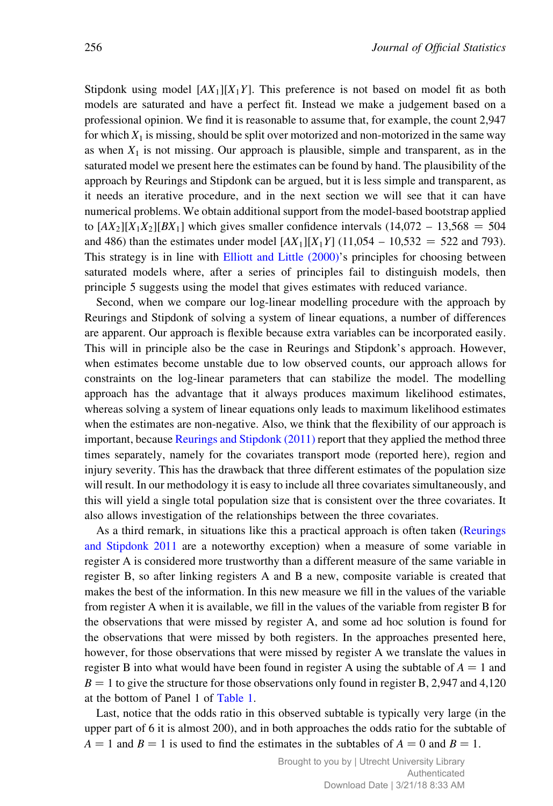Stipdonk using model  $[AX_1][X_1Y]$ . This preference is not based on model fit as both models are saturated and have a perfect fit. Instead we make a judgement based on a professional opinion. We find it is reasonable to assume that, for example, the count 2,947 for which  $X_1$  is missing, should be split over motorized and non-motorized in the same way as when  $X_1$  is not missing. Our approach is plausible, simple and transparent, as in the saturated model we present here the estimates can be found by hand. The plausibility of the approach by Reurings and Stipdonk can be argued, but it is less simple and transparent, as it needs an iterative procedure, and in the next section we will see that it can have numerical problems. We obtain additional support from the model-based bootstrap applied to  $[AX_2][X_1X_2][BX_1]$  which gives smaller confidence intervals  $(14,072 - 13,568 = 504)$ and 486) than the estimates under model  $[AX_1][X_1Y]$  (11,054 – 10,532 = 522 and 793). This strategy is in line with Elliott and Little (2000)'s principles for choosing between saturated models where, after a series of principles fail to distinguish models, then principle 5 suggests using the model that gives estimates with reduced variance.

Second, when we compare our log-linear modelling procedure with the approach by Reurings and Stipdonk of solving a system of linear equations, a number of differences are apparent. Our approach is flexible because extra variables can be incorporated easily. This will in principle also be the case in Reurings and Stipdonk's approach. However, when estimates become unstable due to low observed counts, our approach allows for constraints on the log-linear parameters that can stabilize the model. The modelling approach has the advantage that it always produces maximum likelihood estimates, whereas solving a system of linear equations only leads to maximum likelihood estimates when the estimates are non-negative. Also, we think that the flexibility of our approach is important, because Reurings and Stipdonk (2011) report that they applied the method three times separately, namely for the covariates transport mode (reported here), region and injury severity. This has the drawback that three different estimates of the population size will result. In our methodology it is easy to include all three covariates simultaneously, and this will yield a single total population size that is consistent over the three covariates. It also allows investigation of the relationships between the three covariates.

As a third remark, in situations like this a practical approach is often taken (Reurings and Stipdonk 2011 are a noteworthy exception) when a measure of some variable in register A is considered more trustworthy than a different measure of the same variable in register B, so after linking registers A and B a new, composite variable is created that makes the best of the information. In this new measure we fill in the values of the variable from register A when it is available, we fill in the values of the variable from register B for the observations that were missed by register A, and some ad hoc solution is found for the observations that were missed by both registers. In the approaches presented here, however, for those observations that were missed by register A we translate the values in register B into what would have been found in register A using the subtable of  $A = 1$  and  $B = 1$  to give the structure for those observations only found in register B, 2,947 and 4,120 at the bottom of Panel 1 of Table 1.

Last, notice that the odds ratio in this observed subtable is typically very large (in the upper part of 6 it is almost 200), and in both approaches the odds ratio for the subtable of  $A = 1$  and  $B = 1$  is used to find the estimates in the subtables of  $A = 0$  and  $B = 1$ .

> Brought to you by | Utrecht University Library Authenticated Download Date | 3/21/18 8:33 AM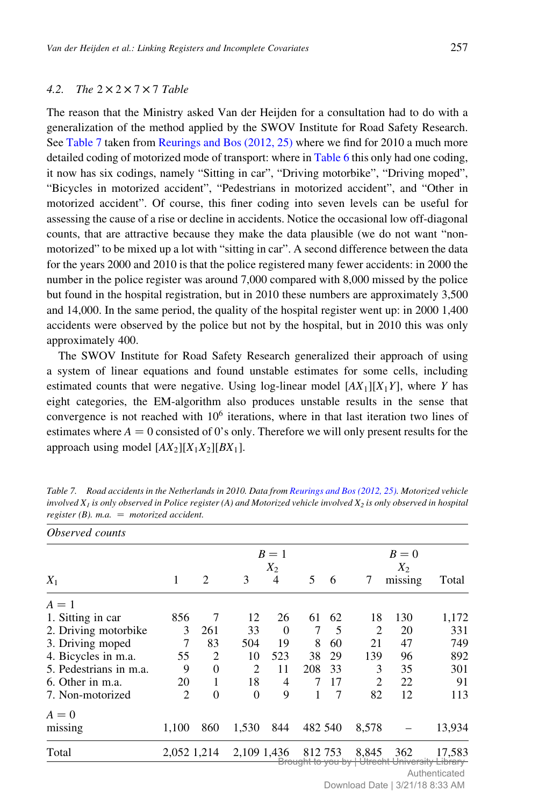## 4.2. The  $2 \times 2 \times 7 \times 7$  Table

The reason that the Ministry asked Van der Heijden for a consultation had to do with a generalization of the method applied by the SWOV Institute for Road Safety Research. See Table 7 taken from Reurings and Bos (2012, 25) where we find for 2010 a much more detailed coding of motorized mode of transport: where in Table 6 this only had one coding, it now has six codings, namely "Sitting in car", "Driving motorbike", "Driving moped", "Bicycles in motorized accident", "Pedestrians in motorized accident", and "Other in motorized accident". Of course, this finer coding into seven levels can be useful for assessing the cause of a rise or decline in accidents. Notice the occasional low off-diagonal counts, that are attractive because they make the data plausible (we do not want "nonmotorized" to be mixed up a lot with "sitting in car". A second difference between the data for the years 2000 and 2010 is that the police registered many fewer accidents: in 2000 the number in the police register was around 7,000 compared with 8,000 missed by the police but found in the hospital registration, but in 2010 these numbers are approximately 3,500 and 14,000. In the same period, the quality of the hospital register went up: in 2000 1,400 accidents were observed by the police but not by the hospital, but in 2010 this was only approximately 400.

The SWOV Institute for Road Safety Research generalized their approach of using a system of linear equations and found unstable estimates for some cells, including estimated counts that were negative. Using log-linear model  $[AX_1][X_1Y]$ , where Y has eight categories, the EM-algorithm also produces unstable results in the sense that convergence is not reached with  $10<sup>6</sup>$  iterations, where in that last iteration two lines of estimates where  $A = 0$  consisted of 0's only. Therefore we will only present results for the approach using model  $[AX_2][X_1X_2][BX_1]$ .

| <i>Observed counts</i> |             |               |             |                |                                        |    |                             |                   |                                |
|------------------------|-------------|---------------|-------------|----------------|----------------------------------------|----|-----------------------------|-------------------|--------------------------------|
|                        |             |               |             | $B=1$<br>$X_2$ |                                        |    |                             | $B=0$<br>$X_2$    |                                |
| $X_1$                  | 1           | $\mathcal{L}$ | 3           | 4              | 5                                      | 6  | 7                           | missing           | Total                          |
| $A=1$                  |             |               |             |                |                                        |    |                             |                   |                                |
| 1. Sitting in car      | 856         | 7             | 12          | 26             | 61                                     | 62 | 18                          | 130               | 1,172                          |
| 2. Driving motorbike   | 3           | 261           | 33          | $\Omega$       | 7                                      | 5  | 2                           | 20                | 331                            |
| 3. Driving moped       | 7           | 83            | 504         | 19             | 8                                      | 60 | 21                          | 47                | 749                            |
| 4. Bicycles in m.a.    | 55          | 2             | 10          | 523            | 38                                     | 29 | 139                         | 96                | 892                            |
| 5. Pedestrians in m.a. | 9           | $\Omega$      | 2           | 11             | 208                                    | 33 | 3                           | 35                | 301                            |
| 6. Other in m.a.       | 20          | 1             | 18          | 4              | 7                                      | 17 | 2                           | 22                | 91                             |
| 7. Non-motorized       | 2           | $\theta$      | $\Omega$    | 9              | 1                                      | 7  | 82                          | 12                | 113                            |
| $A=0$                  |             |               |             |                |                                        |    |                             |                   |                                |
| missing                | 1,100       | 860           | 1,530       | 844            | 482 540                                |    | 8,578                       |                   | 13,934                         |
| Total                  | 2,052 1,214 |               | 2,109 1,436 |                | 812753<br><del>Brought to you by</del> |    | 8,845<br><del>Utrecht</del> | 362<br>University | 17,583<br><del>Library -</del> |

Table 7. Road accidents in the Netherlands in 2010. Data from Reurings and Bos (2012, 25). Motorized vehicle involved  $X<sub>1</sub>$  is only observed in Police register (A) and Motorized vehicle involved  $X<sub>2</sub>$  is only observed in hospital register (B). m.a.  $=$  motorized accident.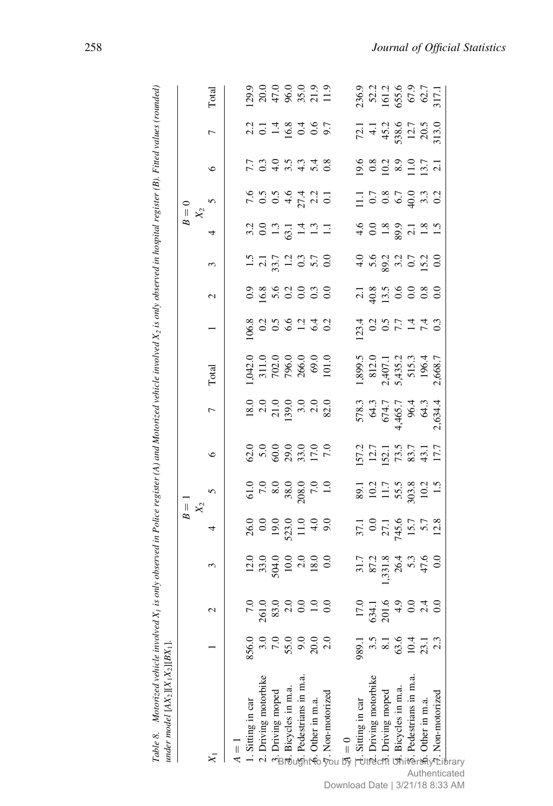|                                                                                                                                                                                                                                                                          |       |                                                       |                                                                                |                                                                                    | $B =$<br>$X_2$                                                        |                                                                                       |                                                                                       |                                                                            |                                                                  |                          |                                                    | $B = 0$<br>$X_2$ |                                                             |                                                                   |                                                                       |                                                 |
|--------------------------------------------------------------------------------------------------------------------------------------------------------------------------------------------------------------------------------------------------------------------------|-------|-------------------------------------------------------|--------------------------------------------------------------------------------|------------------------------------------------------------------------------------|-----------------------------------------------------------------------|---------------------------------------------------------------------------------------|---------------------------------------------------------------------------------------|----------------------------------------------------------------------------|------------------------------------------------------------------|--------------------------|----------------------------------------------------|------------------|-------------------------------------------------------------|-------------------------------------------------------------------|-----------------------------------------------------------------------|-------------------------------------------------|
|                                                                                                                                                                                                                                                                          |       |                                                       | $\frac{1}{2}$                                                                  | 4                                                                                  |                                                                       | $\circ$                                                                               | $\overline{C}$                                                                        | Total                                                                      |                                                                  | $\overline{\mathcal{C}}$ | 3                                                  | 4                |                                                             | $\circ$                                                           | $\overline{a}$                                                        | Total                                           |
| $\frac{1}{4}$                                                                                                                                                                                                                                                            |       |                                                       |                                                                                |                                                                                    |                                                                       |                                                                                       |                                                                                       |                                                                            |                                                                  |                          |                                                    |                  |                                                             |                                                                   |                                                                       |                                                 |
| 1. Sitting in car                                                                                                                                                                                                                                                        | 856.0 |                                                       |                                                                                |                                                                                    |                                                                       |                                                                                       |                                                                                       |                                                                            |                                                                  |                          |                                                    |                  |                                                             |                                                                   |                                                                       |                                                 |
| 2. Driving motorbike                                                                                                                                                                                                                                                     |       |                                                       |                                                                                |                                                                                    |                                                                       |                                                                                       |                                                                                       |                                                                            |                                                                  |                          |                                                    |                  |                                                             |                                                                   |                                                                       |                                                 |
|                                                                                                                                                                                                                                                                          |       |                                                       |                                                                                |                                                                                    |                                                                       |                                                                                       |                                                                                       |                                                                            |                                                                  |                          |                                                    |                  |                                                             |                                                                   |                                                                       |                                                 |
| $\frac{3}{8}$ . Driving moped<br>$\frac{3}{8}$ . Bicycles in m.a.<br>$\frac{2}{3}$ . Pedestrians in m.a.                                                                                                                                                                 | 55.0  | $83.0$<br>$2.0$<br>$1.0$<br>$1.0$                     | $12.0$<br>$33.0$<br>$504.0$<br>$10.0$<br>$18.0$<br>$18.0$                      | $26.0$<br>$0.0$ 0.0<br>$13.0$<br>$11.4$<br>$9.0$<br>$9.0$                          | $61.0$<br>$7.0$<br>$8.0$<br>$8.0$<br>$7.0$<br>$7.0$<br>$7.0$<br>$1.0$ | $620$<br>$600$<br>$600$<br>$600$<br>$600$<br>$600$<br>$700$<br>$700$                  | $\begin{array}{c} 18.0 \\ 2.0 \\ 2.1 \\ 139.0 \\ 139.0 \\ 3.0 \\ 82.0 \\ \end{array}$ | $1,042.0$<br>$311.0$<br>$702.0$<br>$796.0$<br>$266.0$<br>$69.0$<br>$101.0$ | $106.8$<br>$0.3$ 5 $6$ 6 $1$ 4 $0$<br>$0.5$ 6 $1$ 4 $0$<br>$0.5$ |                          | $1.5$<br>$2.7$<br>$3.7$<br>$1.2$<br>$0.5$<br>$0.0$ |                  | $7.6$<br>$0.5$<br>$0.6$<br>$0.4$<br>$0.7$<br>$0.1$<br>$0.1$ | ていれきょうりょう しょうしょう                                                  | $2.2$<br>$2.1$ $4$ $8$ $4$ $9$<br>$1.6$ $8$ $1$ $9$<br>$0.7$<br>$0.7$ |                                                 |
|                                                                                                                                                                                                                                                                          |       |                                                       |                                                                                |                                                                                    |                                                                       |                                                                                       |                                                                                       |                                                                            |                                                                  |                          |                                                    |                  |                                                             |                                                                   |                                                                       |                                                 |
| $\frac{1}{2}$ . Other in m.a.                                                                                                                                                                                                                                            | 20(   |                                                       |                                                                                |                                                                                    |                                                                       |                                                                                       |                                                                                       |                                                                            |                                                                  |                          |                                                    |                  |                                                             |                                                                   |                                                                       |                                                 |
| $\frac{1}{\sqrt{2}}$ . Non-motorized                                                                                                                                                                                                                                     |       |                                                       |                                                                                |                                                                                    |                                                                       |                                                                                       |                                                                                       |                                                                            |                                                                  |                          |                                                    |                  |                                                             |                                                                   |                                                                       |                                                 |
| $\frac{1}{\sqrt{2}}$                                                                                                                                                                                                                                                     |       |                                                       |                                                                                |                                                                                    |                                                                       |                                                                                       |                                                                                       |                                                                            |                                                                  |                          |                                                    |                  |                                                             |                                                                   |                                                                       |                                                 |
|                                                                                                                                                                                                                                                                          | 989.1 |                                                       |                                                                                |                                                                                    |                                                                       |                                                                                       |                                                                                       |                                                                            |                                                                  |                          |                                                    |                  |                                                             |                                                                   |                                                                       |                                                 |
|                                                                                                                                                                                                                                                                          | 3.5   | $\begin{array}{c} 17.0 \\ 634.1 \\ 201.6 \end{array}$ | $\begin{array}{c} 31.7 \\ 87.2 \\ 87.3 \\ 26.4 \\ 75.3 \\ 47.6 \\ \end{array}$ | $\begin{array}{c} 37.1 \\ 0.0 \\ 27.1 \\ 745.6 \\ 15.7 \\ 5.7 \\ 12.8 \end{array}$ | 89.1<br>10.2<br>11.7<br>55.5<br>50.3<br>10.2<br>1.5                   | $\begin{array}{c} 157.2 \\ 12.7 \\ 152.1 \\ 73.5 \\ 83.7 \\ 43.1 \\ 17.7 \end{array}$ | 578.3<br>64.3<br>674.7<br>65.7<br>64.3<br>64.3<br>64.3<br>2.634.4                     | 1,899.5<br>812.0<br>2,407.1<br>5,435.2<br>515.3<br>196.4<br>196.7          | 1<br>23 0 0 1 1 1 0<br>1 0 1 0 1 1 1 0 1                         |                          | $45837520$<br>$4587520$                            | 400807181        |                                                             | $9.8$ $0.2$ $8.9$ $0.5$ $1.7$<br>$0.8$ $0.2$ $0.5$ $0.7$<br>$1.1$ | $72.1$<br>4.1<br>4.52<br>4.52<br>538.6<br>7.0<br>7.13.0<br>7.13.0     | 236.9<br>52.2<br>161.2<br>67.9<br>62.7<br>817.1 |
|                                                                                                                                                                                                                                                                          |       |                                                       |                                                                                |                                                                                    |                                                                       |                                                                                       |                                                                                       |                                                                            |                                                                  |                          |                                                    |                  |                                                             |                                                                   |                                                                       |                                                 |
|                                                                                                                                                                                                                                                                          | 63.6  |                                                       |                                                                                |                                                                                    |                                                                       |                                                                                       |                                                                                       |                                                                            |                                                                  |                          |                                                    |                  |                                                             |                                                                   |                                                                       |                                                 |
|                                                                                                                                                                                                                                                                          | 10.4  |                                                       |                                                                                |                                                                                    |                                                                       |                                                                                       |                                                                                       |                                                                            |                                                                  |                          |                                                    |                  |                                                             |                                                                   |                                                                       |                                                 |
|                                                                                                                                                                                                                                                                          | 23.1  |                                                       |                                                                                |                                                                                    |                                                                       |                                                                                       |                                                                                       |                                                                            |                                                                  |                          |                                                    |                  |                                                             |                                                                   |                                                                       |                                                 |
| $\vec{a}$ . Sitting in car<br>$\vec{a}$ . Driving motorbike<br>$\vec{a}$ . Driving moped<br>$\vec{a}$ . Bicycles in m.a.<br>$\vec{a}$ . Bicycles in m.a.<br>$\vec{a}$ . Bicycles in m.a.<br>$\vec{a}$ . Pedestrians in m.a.<br>$\vec{a}$ . Pedestrians in m.a.<br>$\vec$ | 2.3   |                                                       |                                                                                |                                                                                    |                                                                       |                                                                                       |                                                                                       |                                                                            |                                                                  |                          |                                                    |                  |                                                             |                                                                   |                                                                       |                                                 |

register (A) and Motorized vehicle involved X, is only observed in hospital register (B). Fitted values (rounded) Table 8. Motorized vehicle involved X1 is only observed in Police register (A) and Motorized vehicle involved X2 is only observed in hospital register (B). Fitted values (rounded) Table 8. Motorized vehicle involved  $X_i$  is only observed in Police.

brary Authenticated Download Date | 3/21/18 8:33 AM

258 Journal of Official Statistics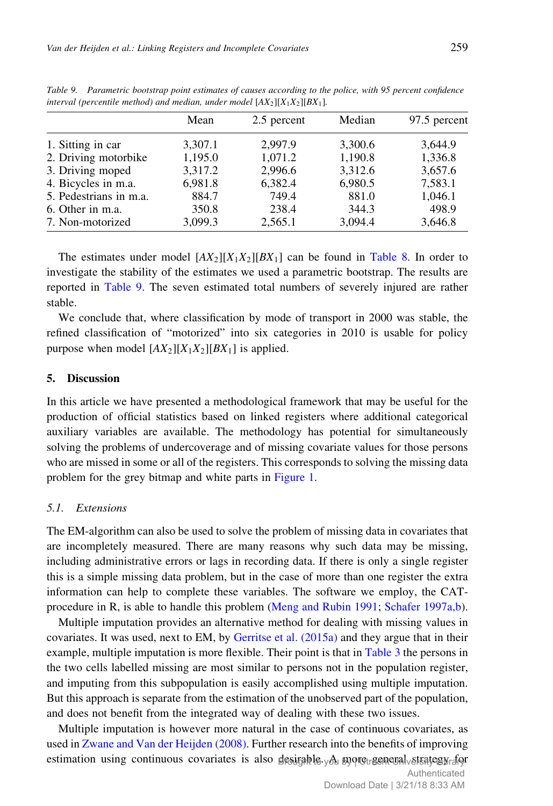|                        | Mean    | 2.5 percent | Median  | 97.5 percent |
|------------------------|---------|-------------|---------|--------------|
| 1. Sitting in car      | 3,307.1 | 2.997.9     | 3,300.6 | 3,644.9      |
| 2. Driving motorbike   | 1,195.0 | 1,071.2     | 1,190.8 | 1,336.8      |
| 3. Driving moped       | 3,317.2 | 2,996.6     | 3,312.6 | 3,657.6      |
| 4. Bicycles in m.a.    | 6,981.8 | 6,382.4     | 6,980.5 | 7,583.1      |
| 5. Pedestrians in m.a. | 884.7   | 749.4       | 881.0   | 1,046.1      |
| 6. Other in m.a.       | 350.8   | 238.4       | 344.3   | 498.9        |
| 7. Non-motorized       | 3,099.3 | 2,565.1     | 3,094.4 | 3,646.8      |
|                        |         |             |         |              |

Table 9. Parametric bootstrap point estimates of causes according to the police, with 95 percent confidence interval (percentile method) and median, under model  $[AX_2][X_1X_2][BX_1]$ .

The estimates under model  $[AX_2][X_1X_2][BX_1]$  can be found in Table 8. In order to investigate the stability of the estimates we used a parametric bootstrap. The results are reported in Table 9. The seven estimated total numbers of severely injured are rather stable.

We conclude that, where classification by mode of transport in 2000 was stable, the refined classification of "motorized" into six categories in 2010 is usable for policy purpose when model  $[AX_2][X_1X_2][BX_1]$  is applied.

### 5. Discussion

In this article we have presented a methodological framework that may be useful for the production of official statistics based on linked registers where additional categorical auxiliary variables are available. The methodology has potential for simultaneously solving the problems of undercoverage and of missing covariate values for those persons who are missed in some or all of the registers. This corresponds to solving the missing data problem for the grey bitmap and white parts in Figure 1.

### 5.1. Extensions

The EM-algorithm can also be used to solve the problem of missing data in covariates that are incompletely measured. There are many reasons why such data may be missing, including administrative errors or lags in recording data. If there is only a single register this is a simple missing data problem, but in the case of more than one register the extra information can help to complete these variables. The software we employ, the CATprocedure in R, is able to handle this problem (Meng and Rubin 1991; Schafer 1997a,b).

Multiple imputation provides an alternative method for dealing with missing values in covariates. It was used, next to EM, by Gerritse et al. (2015a) and they argue that in their example, multiple imputation is more flexible. Their point is that in Table 3 the persons in the two cells labelled missing are most similar to persons not in the population register, and imputing from this subpopulation is easily accomplished using multiple imputation. But this approach is separate from the estimation of the unobserved part of the population, and does not benefit from the integrated way of dealing with these two issues.

Multiple imputation is however more natural in the case of continuous covariates, as used in Zwane and Van der Heijden (2008). Further research into the benefits of improving estimation using continuous covariates is also desirable you by retreen eval vetsategy do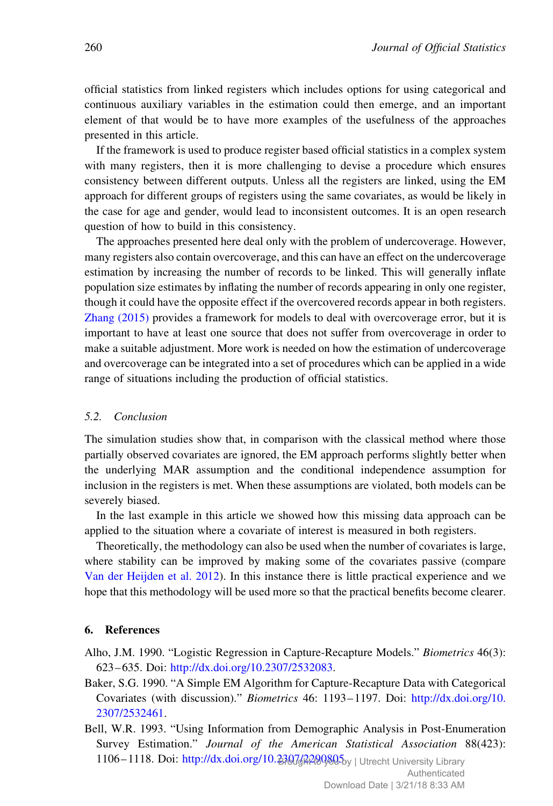official statistics from linked registers which includes options for using categorical and continuous auxiliary variables in the estimation could then emerge, and an important element of that would be to have more examples of the usefulness of the approaches presented in this article.

If the framework is used to produce register based official statistics in a complex system with many registers, then it is more challenging to devise a procedure which ensures consistency between different outputs. Unless all the registers are linked, using the EM approach for different groups of registers using the same covariates, as would be likely in the case for age and gender, would lead to inconsistent outcomes. It is an open research question of how to build in this consistency.

The approaches presented here deal only with the problem of undercoverage. However, many registers also contain overcoverage, and this can have an effect on the undercoverage estimation by increasing the number of records to be linked. This will generally inflate population size estimates by inflating the number of records appearing in only one register, though it could have the opposite effect if the overcovered records appear in both registers. Zhang (2015) provides a framework for models to deal with overcoverage error, but it is important to have at least one source that does not suffer from overcoverage in order to make a suitable adjustment. More work is needed on how the estimation of undercoverage and overcoverage can be integrated into a set of procedures which can be applied in a wide range of situations including the production of official statistics.

## 5.2. Conclusion

The simulation studies show that, in comparison with the classical method where those partially observed covariates are ignored, the EM approach performs slightly better when the underlying MAR assumption and the conditional independence assumption for inclusion in the registers is met. When these assumptions are violated, both models can be severely biased.

In the last example in this article we showed how this missing data approach can be applied to the situation where a covariate of interest is measured in both registers.

Theoretically, the methodology can also be used when the number of covariates is large, where stability can be improved by making some of the covariates passive (compare Van der Heijden et al. 2012). In this instance there is little practical experience and we hope that this methodology will be used more so that the practical benefits become clearer.

## 6. References

- Alho, J.M. 1990. "Logistic Regression in Capture-Recapture Models." Biometrics 46(3): 623–635. Doi: <http://dx.doi.org/10.2307/2532083>.
- Baker, S.G. 1990. "A Simple EM Algorithm for Capture-Recapture Data with Categorical Covariates (with discussion)." Biometrics 46: 1193–1197. Doi: [http://dx.doi.org/10.](http://dx.doi.org/10.2307/2532461) [2307/2532461.](http://dx.doi.org/10.2307/2532461)
- Bell, W.R. 1993. "Using Information from Demographic Analysis in Post-Enumeration Survey Estimation." Journal of the American Statistical Association 88(423): 1106-1118. Doi: http://dx.doi.org/10.230742209805by | Utrecht University Library

Authenticated Download Date | 3/21/18 8:33 AM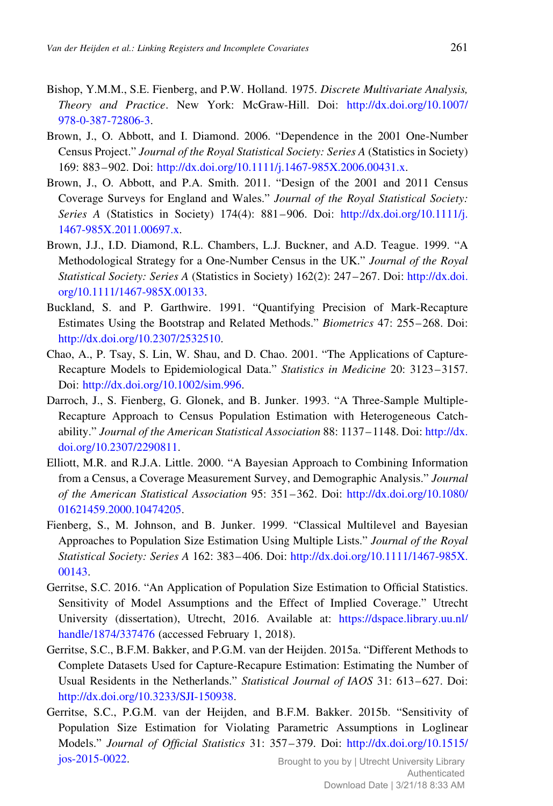- Bishop, Y.M.M., S.E. Fienberg, and P.W. Holland. 1975. Discrete Multivariate Analysis, Theory and Practice. New York: McGraw-Hill. Doi: [http://dx.doi.org/10.1007/](http://dx.doi.org/10.1007/978-0-387-72806-3) [978-0-387-72806-3.](http://dx.doi.org/10.1007/978-0-387-72806-3)
- Brown, J., O. Abbott, and I. Diamond. 2006. "Dependence in the 2001 One-Number Census Project." Journal of the Royal Statistical Society: Series A (Statistics in Society) 169: 883–902. Doi: [http://dx.doi.org/10.1111/j.1467-985X.2006.00431.x.](http://dx.doi.org/10.1111/j.1467-985X.2006.00431.x)
- Brown, J., O. Abbott, and P.A. Smith. 2011. "Design of the 2001 and 2011 Census Coverage Surveys for England and Wales." Journal of the Royal Statistical Society: Series A (Statistics in Society) 174(4): 881–906. Doi: [http://dx.doi.org/10.1111/j.](http://dx.doi.org/10.1111/j.1467-985X.2011.00697.x) [1467-985X.2011.00697.x.](http://dx.doi.org/10.1111/j.1467-985X.2011.00697.x)
- Brown, J.J., I.D. Diamond, R.L. Chambers, L.J. Buckner, and A.D. Teague. 1999. "A Methodological Strategy for a One-Number Census in the UK." Journal of the Royal Statistical Society: Series A (Statistics in Society) 162(2): 247–267. Doi: [http://dx.doi.](http://dx.doi.org/10.1111/1467-985X.00133) [org/10.1111/1467-985X.00133.](http://dx.doi.org/10.1111/1467-985X.00133)
- Buckland, S. and P. Garthwire. 1991. "Quantifying Precision of Mark-Recapture Estimates Using the Bootstrap and Related Methods." Biometrics 47: 255–268. Doi: [http://dx.doi.org/10.2307/2532510.](http://dx.doi.org/10.2307/2532510)
- Chao, A., P. Tsay, S. Lin, W. Shau, and D. Chao. 2001. "The Applications of Capture-Recapture Models to Epidemiological Data." Statistics in Medicine 20: 3123–3157. Doi: [http://dx.doi.org/10.1002/sim.996.](http://dx.doi.org/10.1002/sim.996)
- Darroch, J., S. Fienberg, G. Glonek, and B. Junker. 1993. "A Three-Sample Multiple-Recapture Approach to Census Population Estimation with Heterogeneous Catchability." Journal of the American Statistical Association 88: 1137–1148. Doi: [http://dx.](http://dx.doi.org/10.2307/2290811) [doi.org/10.2307/2290811](http://dx.doi.org/10.2307/2290811).
- Elliott, M.R. and R.J.A. Little. 2000. "A Bayesian Approach to Combining Information from a Census, a Coverage Measurement Survey, and Demographic Analysis." Journal of the American Statistical Association 95: 351–362. Doi: [http://dx.doi.org/10.1080/](http://dx.doi.org/10.1080/01621459.2000.10474205) [01621459.2000.10474205](http://dx.doi.org/10.1080/01621459.2000.10474205).
- Fienberg, S., M. Johnson, and B. Junker. 1999. "Classical Multilevel and Bayesian Approaches to Population Size Estimation Using Multiple Lists." Journal of the Royal Statistical Society: Series A 162: 383–406. Doi: [http://dx.doi.org/10.1111/1467-985X.](http://dx.doi.org/10.1111/1467-985X.00143) [00143.](http://dx.doi.org/10.1111/1467-985X.00143)
- Gerritse, S.C. 2016. "An Application of Population Size Estimation to Official Statistics. Sensitivity of Model Assumptions and the Effect of Implied Coverage." Utrecht University (dissertation), Utrecht, 2016. Available at: [https://dspace.library.uu.nl/](https://dspace.library.uu.nl/handle/1874/337476) [handle/1874/337476](https://dspace.library.uu.nl/handle/1874/337476) (accessed February 1, 2018).
- Gerritse, S.C., B.F.M. Bakker, and P.G.M. van der Heijden. 2015a. "Different Methods to Complete Datasets Used for Capture-Recapure Estimation: Estimating the Number of Usual Residents in the Netherlands." Statistical Journal of IAOS 31: 613–627. Doi: [http://dx.doi.org/10.3233/SJI-150938.](http://dx.doi.org/10.3233/SJI-150938)
- Gerritse, S.C., P.G.M. van der Heijden, and B.F.M. Bakker. 2015b. "Sensitivity of Population Size Estimation for Violating Parametric Assumptions in Loglinear Models." Journal of Official Statistics 31: 357–379. Doi: [http://dx.doi.org/10.1515/](http://dx.doi.org/10.1515/jos-2015-0022) [jos-2015-0022.](http://dx.doi.org/10.1515/jos-2015-0022) Brought to you by | Utrecht University Library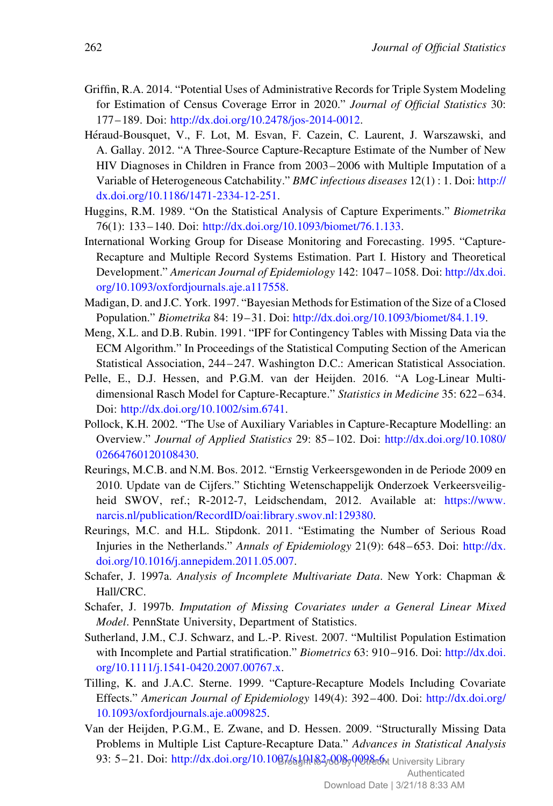- Griffin, R.A. 2014. "Potential Uses of Administrative Records for Triple System Modeling for Estimation of Census Coverage Error in 2020." Journal of Official Statistics 30: 177–189. Doi: <http://dx.doi.org/10.2478/jos-2014-0012>.
- Héraud-Bousquet, V., F. Lot, M. Esvan, F. Cazein, C. Laurent, J. Warszawski, and A. Gallay. 2012. "A Three-Source Capture-Recapture Estimate of the Number of New HIV Diagnoses in Children in France from 2003–2006 with Multiple Imputation of a Variable of Heterogeneous Catchability." BMC infectious diseases 12(1) : 1. Doi: [http://](http://dx.doi.org/10.1186/1471-2334-12-251) [dx.doi.org/10.1186/1471-2334-12-251.](http://dx.doi.org/10.1186/1471-2334-12-251)
- Huggins, R.M. 1989. "On the Statistical Analysis of Capture Experiments." Biometrika 76(1): 133–140. Doi: <http://dx.doi.org/10.1093/biomet/76.1.133>.
- International Working Group for Disease Monitoring and Forecasting. 1995. "Capture-Recapture and Multiple Record Systems Estimation. Part I. History and Theoretical Development." American Journal of Epidemiology 142: 1047–1058. Doi: [http://dx.doi.](http://dx.doi.org/10.1093/oxfordjournals.aje.a117558) [org/10.1093/oxfordjournals.aje.a117558](http://dx.doi.org/10.1093/oxfordjournals.aje.a117558).
- Madigan, D. and J.C. York. 1997. "Bayesian Methods for Estimation of the Size of a Closed Population." Biometrika 84: 19–31. Doi: [http://dx.doi.org/10.1093/biomet/84.1.19.](http://dx.doi.org/10.1093/biomet/84.1.19)
- Meng, X.L. and D.B. Rubin. 1991. "IPF for Contingency Tables with Missing Data via the ECM Algorithm." In Proceedings of the Statistical Computing Section of the American Statistical Association, 244–247. Washington D.C.: American Statistical Association.
- Pelle, E., D.J. Hessen, and P.G.M. van der Heijden. 2016. "A Log-Linear Multidimensional Rasch Model for Capture-Recapture." Statistics in Medicine 35: 622–634. Doi: [http://dx.doi.org/10.1002/sim.6741.](http://dx.doi.org/10.1002/sim.6741)
- Pollock, K.H. 2002. "The Use of Auxiliary Variables in Capture-Recapture Modelling: an Overview." Journal of Applied Statistics 29: 85–102. Doi: [http://dx.doi.org/10.1080/](http://dx.doi.org/10.1080/02664760120108430) [02664760120108430.](http://dx.doi.org/10.1080/02664760120108430)
- Reurings, M.C.B. and N.M. Bos. 2012. "Ernstig Verkeersgewonden in de Periode 2009 en 2010. Update van de Cijfers." Stichting Wetenschappelijk Onderzoek Verkeersveiligheid SWOV, ref.; R-2012-7, Leidschendam, 2012. Available at: [https://www.](https://www.narcis.nl/publication/RecordID/oai:library.swov.nl:129380) [narcis.nl/publication/RecordID/oai:library.swov.nl:129380](https://www.narcis.nl/publication/RecordID/oai:library.swov.nl:129380).
- Reurings, M.C. and H.L. Stipdonk. 2011. "Estimating the Number of Serious Road Injuries in the Netherlands." Annals of Epidemiology 21(9): 648–653. Doi: [http://dx.](http://dx.doi.org/10.1016/j.annepidem.2011.05.007) [doi.org/10.1016/j.annepidem.2011.05.007](http://dx.doi.org/10.1016/j.annepidem.2011.05.007).
- Schafer, J. 1997a. Analysis of Incomplete Multivariate Data. New York: Chapman & Hall/CRC.
- Schafer, J. 1997b. Imputation of Missing Covariates under a General Linear Mixed Model. PennState University, Department of Statistics.
- Sutherland, J.M., C.J. Schwarz, and L.-P. Rivest. 2007. "Multilist Population Estimation with Incomplete and Partial stratification." Biometrics 63: 910-916. Doi: [http://dx.doi.](http://dx.doi.org/10.1111/j.1541-0420.2007.00767.x) [org/10.1111/j.1541-0420.2007.00767.x](http://dx.doi.org/10.1111/j.1541-0420.2007.00767.x).
- Tilling, K. and J.A.C. Sterne. 1999. "Capture-Recapture Models Including Covariate Effects." American Journal of Epidemiology 149(4): 392–400. Doi: [http://dx.doi.org/](http://dx.doi.org/10.1093/oxfordjournals.aje.a009825) [10.1093/oxfordjournals.aje.a009825](http://dx.doi.org/10.1093/oxfordjournals.aje.a009825).
- Van der Heijden, P.G.M., E. Zwane, and D. Hessen. 2009. "Structurally Missing Data Problems in Multiple List Capture-Recapture Data." Advances in Statistical Analysis 93: 5–21. Doi: http://dx.doi.org/10.1007/§]@1&270087008&At University Library